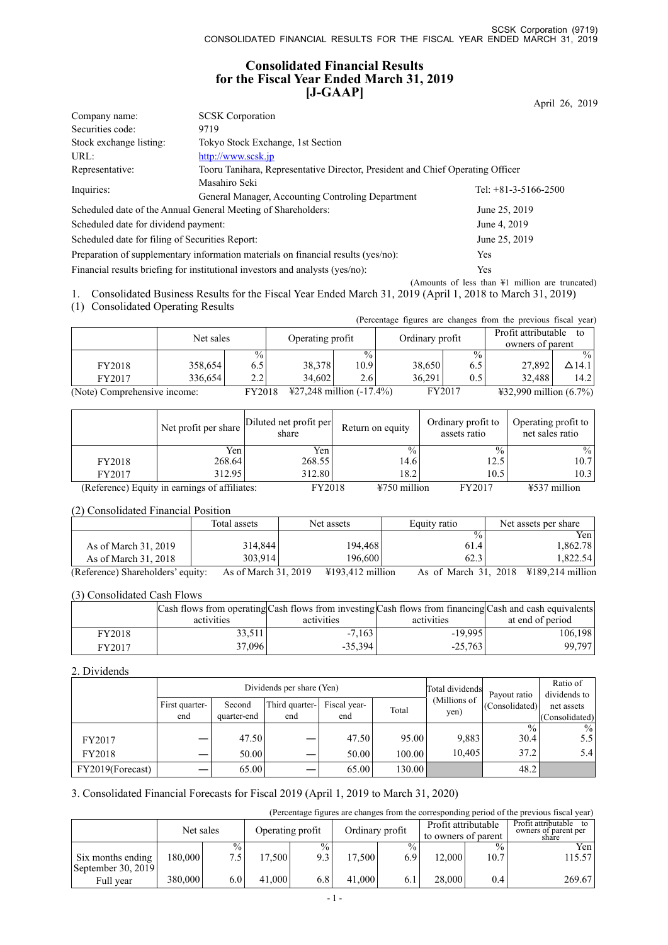### **Consolidated Financial Results for the Fiscal Year Ended March 31, 2019 [J-GAAP]**

|                                                                                   | $   -$                                                                         | April 26, 2019                                             |
|-----------------------------------------------------------------------------------|--------------------------------------------------------------------------------|------------------------------------------------------------|
| Company name:                                                                     | <b>SCSK</b> Corporation                                                        |                                                            |
| Securities code:                                                                  | 9719                                                                           |                                                            |
| Stock exchange listing:                                                           | Tokyo Stock Exchange, 1st Section                                              |                                                            |
| URL:                                                                              | http://www.scsk.jp                                                             |                                                            |
| Representative:                                                                   | Tooru Tanihara, Representative Director, President and Chief Operating Officer |                                                            |
| Inquiries:                                                                        | Masahiro Seki                                                                  | Tel: $+81-3-5166-2500$                                     |
|                                                                                   | General Manager, Accounting Controling Department                              |                                                            |
|                                                                                   | Scheduled date of the Annual General Meeting of Shareholders:                  | June 25, 2019                                              |
| Scheduled date for dividend payment:                                              |                                                                                | June 4, 2019                                               |
| Scheduled date for filing of Securities Report:                                   |                                                                                | June 25, 2019                                              |
| Preparation of supplementary information materials on financial results (yes/no): | <b>Yes</b>                                                                     |                                                            |
| Financial results briefing for institutional investors and analysts (yes/no):     |                                                                                | Yes                                                        |
|                                                                                   |                                                                                | (Amounts of less than $\frac{1}{2}$ million are truncated) |

1. Consolidated Business Results for the Fiscal Year Ended March 31, 2019 (April 1, 2018 to March 31, 2019)

(1) Consolidated Operating Results

|                              |           |                 |                                               |                 |        |                 | (Percentage figures are changes from the previous fiscal year) |                           |
|------------------------------|-----------|-----------------|-----------------------------------------------|-----------------|--------|-----------------|----------------------------------------------------------------|---------------------------|
|                              |           |                 |                                               |                 |        |                 |                                                                | Profit attributable<br>to |
|                              | Net sales |                 | Operating profit                              |                 |        | Ordinary profit |                                                                | owners of parent          |
|                              |           | $\frac{0}{0}$ . |                                               | $\frac{0}{0}$ . |        | $\frac{0}{0}$   |                                                                |                           |
| FY2018                       | 358,654   | 6.5             | 38.378                                        | 10.9            | 38,650 | 6.5             | 27,892                                                         | $\Delta$ 14.1             |
| FY2017                       | 336,654   | 2.2             | 34.602                                        | 2.6             | 36.291 | 0.5             | 32,488                                                         | 14.2                      |
| (Note) Comprehensive income: |           | FY2018          | $\text{\textsterling}27,248$ million (-17.4%) |                 |        | FY2017          | $\text{\#32,990}$ million (6.7%)                               |                           |

|        | Net profit per share                          | Diluted net profit per<br>share | Return on equity | Ordinary profit to<br>assets ratio | Operating profit to<br>net sales ratio |
|--------|-----------------------------------------------|---------------------------------|------------------|------------------------------------|----------------------------------------|
|        | Yen                                           | Yen                             | $\frac{0}{0}$    | $\frac{0}{0}$                      | $\%$                                   |
| FY2018 | 268.64                                        | 268.55                          | 14.6             | 12.5                               | 10.7                                   |
| FY2017 | 312.95                                        | 312.80                          | 18.2             | 10.5                               | 10.3                                   |
|        | (Reference) Equity in earnings of affiliates: | FY2018                          | $4750$ million   | FY2017                             | $4537$ million                         |

#### (2) Consolidated Financial Position

|                                   | Total assets         | Net assets                            | Equity ratio         | Net assets per share |
|-----------------------------------|----------------------|---------------------------------------|----------------------|----------------------|
|                                   |                      |                                       | $\frac{0}{0}$        | Yenl                 |
| As of March 31, 2019              | 314,844              | 194.468                               | 61.4                 | 1,862.78             |
| As of March 31, 2018              | 303.914              | 196,600                               | 62.3                 | 1.822.541            |
| (Reference) Shareholders' equity: | As of March 31, 2019 | $\text{\textsterling}193.412$ million | As of March 31, 2018 | ¥189,214 million     |

#### (3) Consolidated Cash Flows

|        | Cash flows from operating Cash flows from investing Cash flows from financing Cash and cash equivalents |            |            |                  |
|--------|---------------------------------------------------------------------------------------------------------|------------|------------|------------------|
|        | activities                                                                                              | activities | activities | at end of period |
| FY2018 | 33.511                                                                                                  | $-7.163$   | $-19.995$  | 106,198          |
| FY2017 | 37,096                                                                                                  | $-35.394$  | $-25.763$  | 99.797           |

#### 2. Dividends

|                  |                |             | Dividends per share (Yen) | Total dividends | Payout ratio | Ratio of<br>dividends to |                |                |
|------------------|----------------|-------------|---------------------------|-----------------|--------------|--------------------------|----------------|----------------|
|                  | First quarter- | Second      | Third quarter-            | Fiscal year-    | Total        | (Millions of<br>yen)     | (Consolidated) | net assets     |
|                  | end            | quarter-end | end                       | end             |              |                          |                | (Consolidated) |
|                  |                |             |                           |                 |              |                          | $\frac{0}{0}$  | $\frac{0}{2}$  |
| FY2017           |                | 47.50       |                           | 47.50           | 95.00        | 9,883                    | 30.4           | 5.5            |
| FY2018           |                | 50.00       |                           | 50.00           | 100.00       | 10.405                   | 37.2           | 5.4            |
| FY2019(Forecast) |                | 65.00       |                           | 65.00           | 130.00       |                          | 48.2           |                |

### 3. Consolidated Financial Forecasts for Fiscal 2019 (April 1, 2019 to March 31, 2020)

(Percentage figures are changes from the corresponding period of the previous fiscal year)

|                                           | Net sales |                | Operating profit |                      | Ordinary profit |                      | Profit attributable<br>to owners of parent |                       | Profit attributable<br>owners of parent per<br>share |
|-------------------------------------------|-----------|----------------|------------------|----------------------|-----------------|----------------------|--------------------------------------------|-----------------------|------------------------------------------------------|
| Six months ending<br>September 30, $2019$ | 180.000   | $\frac{6}{10}$ | 17.500           | $\frac{0}{2}$<br>9.3 | 17.500          | $\frac{0}{0}$<br>6.9 | 12.000                                     | $\frac{0}{0}$<br>10.7 | Yen l<br>15.57                                       |
| Full year                                 | 380,000   | 6.0 I          | 41,000           | 6.8                  | 41,000          | 6.1                  | 28,000                                     | 0.4                   | 269.67                                               |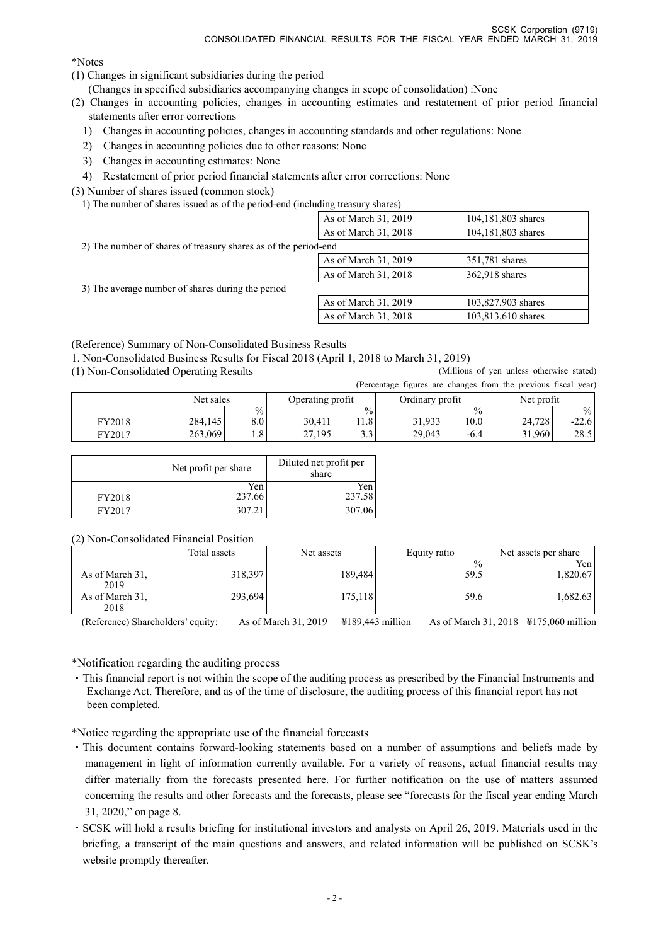\*Notes

- (1) Changes in significant subsidiaries during the period
	- (Changes in specified subsidiaries accompanying changes in scope of consolidation) :None
- (2) Changes in accounting policies, changes in accounting estimates and restatement of prior period financial statements after error corrections
	- 1) Changes in accounting policies, changes in accounting standards and other regulations: None
	- 2) Changes in accounting policies due to other reasons: None
	- 3) Changes in accounting estimates: None
- 4) Restatement of prior period financial statements after error corrections: None

(3) Number of shares issued (common stock)

1) The number of shares issued as of the period-end (including treasury shares)

|                                                                 | As of March 31, 2019 | 104,181,803 shares |
|-----------------------------------------------------------------|----------------------|--------------------|
|                                                                 | As of March 31, 2018 | 104,181,803 shares |
| 2) The number of shares of treasury shares as of the period-end |                      |                    |
|                                                                 | As of March 31, 2019 | 351,781 shares     |
|                                                                 | As of March 31, 2018 | 362,918 shares     |
| 3) The average number of shares during the period               |                      |                    |
|                                                                 | As of March 31, 2019 | 103,827,903 shares |
|                                                                 | As of March 31, 2018 | 103,813,610 shares |

(Reference) Summary of Non-Consolidated Business Results

1. Non-Consolidated Business Results for Fiscal 2018 (April 1, 2018 to March 31, 2019)

(1) Non-Consolidated Operating Results (Millions of yen unless otherwise stated)

|        |           |                  |                  |               |                 |               | (Percentage figures are changes from the previous fiscal year) |               |
|--------|-----------|------------------|------------------|---------------|-----------------|---------------|----------------------------------------------------------------|---------------|
|        | Net sales |                  | Operating profit |               | Ordinary profit |               | Net profit                                                     |               |
|        |           | $\frac{0}{0}$    |                  | $\frac{0}{0}$ |                 | $\frac{0}{0}$ |                                                                | $\frac{0}{0}$ |
| FY2018 | 284,145   | $8.0\,$          | 30.411           | .1.8          | 31,933          | 10.01         | 24.728                                                         | $-22.6$       |
| FY2017 | 263,069   | 1.8 <sup>1</sup> | 27,195           | າາ<br>د.د     | 29.043          | $-6.4$        | 31.960                                                         | 28.5          |

|        | Net profit per share | Diluted net profit per<br>share |
|--------|----------------------|---------------------------------|
| FY2018 | Yen<br>237.66        | Yen<br>237.58                   |
| FY2017 | 307.21               | 307.06                          |

(2) Non-Consolidated Financial Position

|                                                    | Total assets       | Net assets         | Equity ratio                  | Net assets per share          |
|----------------------------------------------------|--------------------|--------------------|-------------------------------|-------------------------------|
| As of March 31,<br>2019<br>As of March 31,<br>2018 | 318,397<br>293,694 | 189,484<br>175,118 | $\frac{0}{0}$<br>59.5<br>59.6 | Yen l<br>1,820.67<br>1,682.63 |

(Reference) Shareholders' equity: As of March 31, 2019 ¥189,443 million As of March 31, 2018 ¥175,060 million

\*Notification regarding the auditing process

・This financial report is not within the scope of the auditing process as prescribed by the Financial Instruments and Exchange Act. Therefore, and as of the time of disclosure, the auditing process of this financial report has not been completed.

\*Notice regarding the appropriate use of the financial forecasts

- ・This document contains forward-looking statements based on a number of assumptions and beliefs made by management in light of information currently available. For a variety of reasons, actual financial results may differ materially from the forecasts presented here. For further notification on the use of matters assumed concerning the results and other forecasts and the forecasts, please see "forecasts for the fiscal year ending March 31, 2020," on page 8.
- ・SCSK will hold a results briefing for institutional investors and analysts on April 26, 2019. Materials used in the briefing, a transcript of the main questions and answers, and related information will be published on SCSK's website promptly thereafter.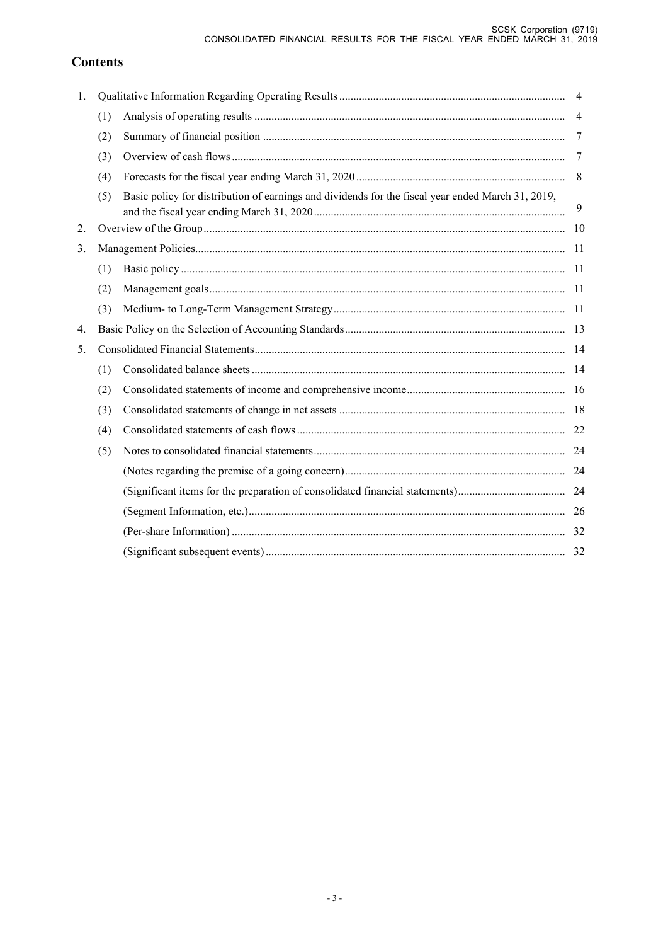# **Contents**

| 1. |     |                                                                                                   | $\overline{4}$ |
|----|-----|---------------------------------------------------------------------------------------------------|----------------|
|    | (1) |                                                                                                   | $\overline{4}$ |
|    | (2) |                                                                                                   | 7              |
|    | (3) |                                                                                                   | -7             |
|    | (4) |                                                                                                   | 8              |
|    | (5) | Basic policy for distribution of earnings and dividends for the fiscal year ended March 31, 2019, | 9              |
| 2. |     |                                                                                                   |                |
| 3. |     |                                                                                                   |                |
|    | (1) |                                                                                                   |                |
|    | (2) |                                                                                                   |                |
|    | (3) |                                                                                                   |                |
| 4. |     |                                                                                                   |                |
| 5. |     |                                                                                                   |                |
|    | (1) |                                                                                                   |                |
|    | (2) |                                                                                                   |                |
|    | (3) |                                                                                                   |                |
|    | (4) |                                                                                                   |                |
|    | (5) |                                                                                                   |                |
|    |     |                                                                                                   |                |
|    |     |                                                                                                   |                |
|    |     |                                                                                                   |                |
|    |     |                                                                                                   |                |
|    |     |                                                                                                   |                |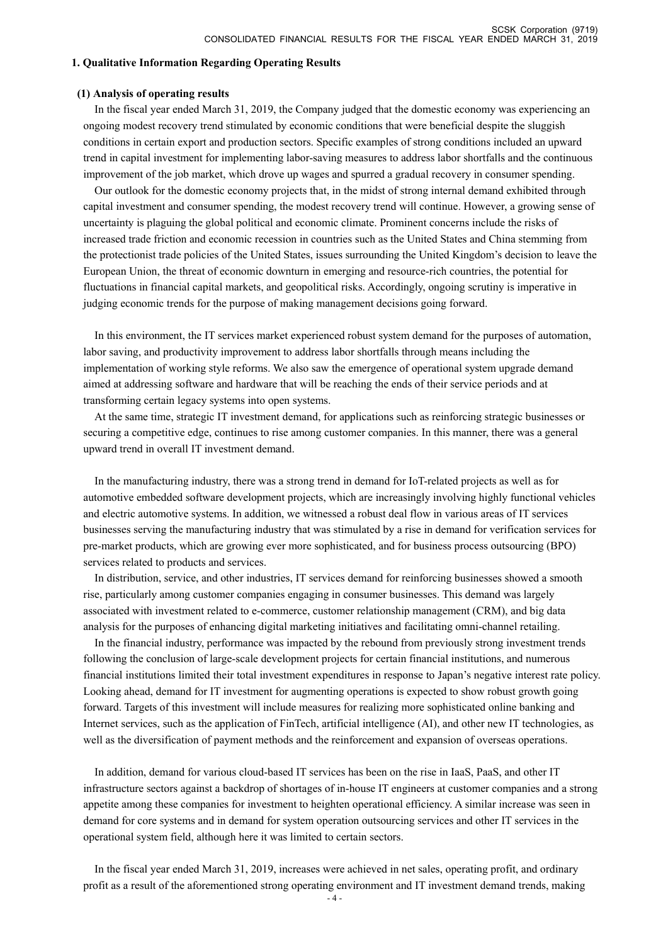#### **1. Qualitative Information Regarding Operating Results**

#### **(1) Analysis of operating results**

In the fiscal year ended March 31, 2019, the Company judged that the domestic economy was experiencing an ongoing modest recovery trend stimulated by economic conditions that were beneficial despite the sluggish conditions in certain export and production sectors. Specific examples of strong conditions included an upward trend in capital investment for implementing labor-saving measures to address labor shortfalls and the continuous improvement of the job market, which drove up wages and spurred a gradual recovery in consumer spending.

Our outlook for the domestic economy projects that, in the midst of strong internal demand exhibited through capital investment and consumer spending, the modest recovery trend will continue. However, a growing sense of uncertainty is plaguing the global political and economic climate. Prominent concerns include the risks of increased trade friction and economic recession in countries such as the United States and China stemming from the protectionist trade policies of the United States, issues surrounding the United Kingdom's decision to leave the European Union, the threat of economic downturn in emerging and resource-rich countries, the potential for fluctuations in financial capital markets, and geopolitical risks. Accordingly, ongoing scrutiny is imperative in judging economic trends for the purpose of making management decisions going forward.

In this environment, the IT services market experienced robust system demand for the purposes of automation, labor saving, and productivity improvement to address labor shortfalls through means including the implementation of working style reforms. We also saw the emergence of operational system upgrade demand aimed at addressing software and hardware that will be reaching the ends of their service periods and at transforming certain legacy systems into open systems.

At the same time, strategic IT investment demand, for applications such as reinforcing strategic businesses or securing a competitive edge, continues to rise among customer companies. In this manner, there was a general upward trend in overall IT investment demand.

In the manufacturing industry, there was a strong trend in demand for IoT-related projects as well as for automotive embedded software development projects, which are increasingly involving highly functional vehicles and electric automotive systems. In addition, we witnessed a robust deal flow in various areas of IT services businesses serving the manufacturing industry that was stimulated by a rise in demand for verification services for pre-market products, which are growing ever more sophisticated, and for business process outsourcing (BPO) services related to products and services.

In distribution, service, and other industries, IT services demand for reinforcing businesses showed a smooth rise, particularly among customer companies engaging in consumer businesses. This demand was largely associated with investment related to e-commerce, customer relationship management (CRM), and big data analysis for the purposes of enhancing digital marketing initiatives and facilitating omni-channel retailing.

In the financial industry, performance was impacted by the rebound from previously strong investment trends following the conclusion of large-scale development projects for certain financial institutions, and numerous financial institutions limited their total investment expenditures in response to Japan's negative interest rate policy. Looking ahead, demand for IT investment for augmenting operations is expected to show robust growth going forward. Targets of this investment will include measures for realizing more sophisticated online banking and Internet services, such as the application of FinTech, artificial intelligence (AI), and other new IT technologies, as well as the diversification of payment methods and the reinforcement and expansion of overseas operations.

In addition, demand for various cloud-based IT services has been on the rise in IaaS, PaaS, and other IT infrastructure sectors against a backdrop of shortages of in-house IT engineers at customer companies and a strong appetite among these companies for investment to heighten operational efficiency. A similar increase was seen in demand for core systems and in demand for system operation outsourcing services and other IT services in the operational system field, although here it was limited to certain sectors.

In the fiscal year ended March 31, 2019, increases were achieved in net sales, operating profit, and ordinary profit as a result of the aforementioned strong operating environment and IT investment demand trends, making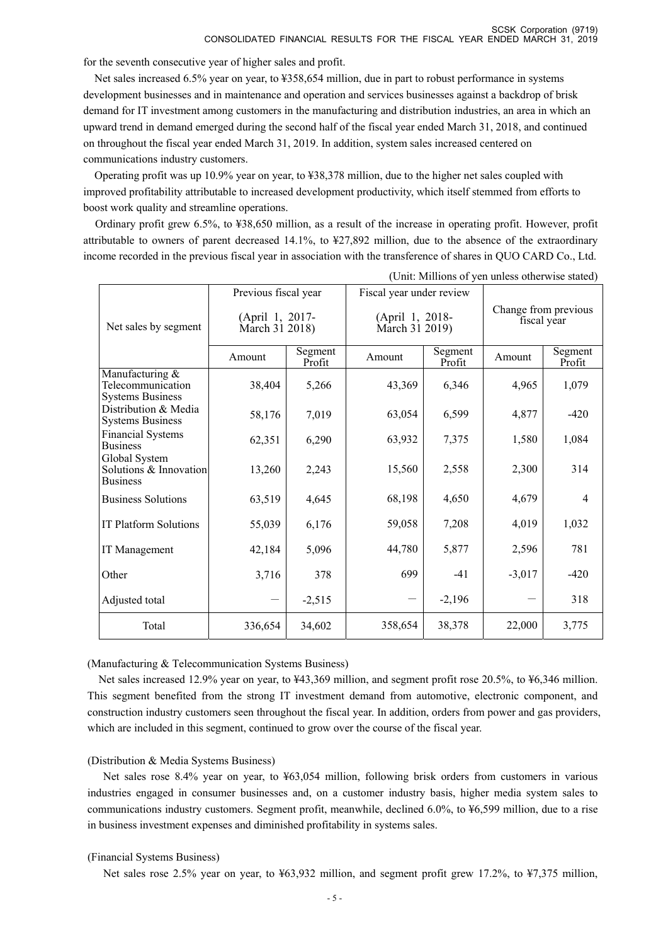for the seventh consecutive year of higher sales and profit.

Net sales increased 6.5% year on year, to ¥358,654 million, due in part to robust performance in systems development businesses and in maintenance and operation and services businesses against a backdrop of brisk demand for IT investment among customers in the manufacturing and distribution industries, an area in which an upward trend in demand emerged during the second half of the fiscal year ended March 31, 2018, and continued on throughout the fiscal year ended March 31, 2019. In addition, system sales increased centered on communications industry customers.

Operating profit was up 10.9% year on year, to ¥38,378 million, due to the higher net sales coupled with improved profitability attributable to increased development productivity, which itself stemmed from efforts to boost work quality and streamline operations.

Ordinary profit grew 6.5%, to ¥38,650 million, as a result of the increase in operating profit. However, profit attributable to owners of parent decreased 14.1%, to ¥27,892 million, due to the absence of the extraordinary income recorded in the previous fiscal year in association with the transference of shares in QUO CARD Co., Ltd.

|                                                                 |                                   |                   |                          |                                   | $\epsilon$ of $\epsilon$ is a set of $\epsilon$ is the set of $\epsilon$ in $\epsilon$ is a set of $\epsilon$ |                                     |  |
|-----------------------------------------------------------------|-----------------------------------|-------------------|--------------------------|-----------------------------------|---------------------------------------------------------------------------------------------------------------|-------------------------------------|--|
|                                                                 | Previous fiscal year              |                   | Fiscal year under review |                                   |                                                                                                               |                                     |  |
| Net sales by segment                                            | (April 1, 2017-<br>March 31 2018) |                   |                          | (April 1, 2018-<br>March 31 2019) |                                                                                                               | Change from previous<br>fiscal year |  |
|                                                                 | Amount                            | Segment<br>Profit | Amount                   | Segment<br>Profit                 | Amount                                                                                                        | Segment<br>Profit                   |  |
| Manufacturing &<br>Telecommunication<br><b>Systems Business</b> | 38,404                            | 5,266             | 43,369                   | 6,346                             | 4,965                                                                                                         | 1,079                               |  |
| Distribution & Media<br><b>Systems Business</b>                 | 58,176                            | 7,019             | 63,054                   | 6,599                             | 4,877                                                                                                         | $-420$                              |  |
| <b>Financial Systems</b><br><b>Business</b>                     | 62,351                            | 6,290             | 63,932                   | 7,375                             | 1,580                                                                                                         | 1,084                               |  |
| Global System<br>Solutions & Innovation<br><b>Business</b>      | 13,260                            | 2,243             | 15,560                   | 2,558                             | 2,300                                                                                                         | 314                                 |  |
| <b>Business Solutions</b>                                       | 63,519                            | 4,645             | 68,198                   | 4,650                             | 4,679                                                                                                         | $\overline{4}$                      |  |
| IT Platform Solutions                                           | 55,039                            | 6,176             | 59,058                   | 7,208                             | 4,019                                                                                                         | 1,032                               |  |
| IT Management                                                   | 42,184                            | 5,096             | 44,780                   | 5,877                             | 2,596                                                                                                         | 781                                 |  |
| Other                                                           | 3,716                             | 378               | 699                      | $-41$                             | $-3,017$                                                                                                      | $-420$                              |  |
| Adjusted total                                                  |                                   | $-2,515$          |                          | $-2,196$                          |                                                                                                               | 318                                 |  |
| Total                                                           | 336,654                           | 34,602            | 358,654                  | 38,378                            | 22,000                                                                                                        | 3,775                               |  |

(Unit: Millions of yen unless otherwise stated)

(Manufacturing & Telecommunication Systems Business)

Net sales increased 12.9% year on year, to ¥43,369 million, and segment profit rose 20.5%, to ¥6,346 million. This segment benefited from the strong IT investment demand from automotive, electronic component, and construction industry customers seen throughout the fiscal year. In addition, orders from power and gas providers, which are included in this segment, continued to grow over the course of the fiscal year.

#### (Distribution & Media Systems Business)

Net sales rose 8.4% year on year, to ¥63,054 million, following brisk orders from customers in various industries engaged in consumer businesses and, on a customer industry basis, higher media system sales to communications industry customers. Segment profit, meanwhile, declined 6.0%, to ¥6,599 million, due to a rise in business investment expenses and diminished profitability in systems sales.

#### (Financial Systems Business)

Net sales rose 2.5% year on year, to ¥63,932 million, and segment profit grew 17.2%, to ¥7,375 million,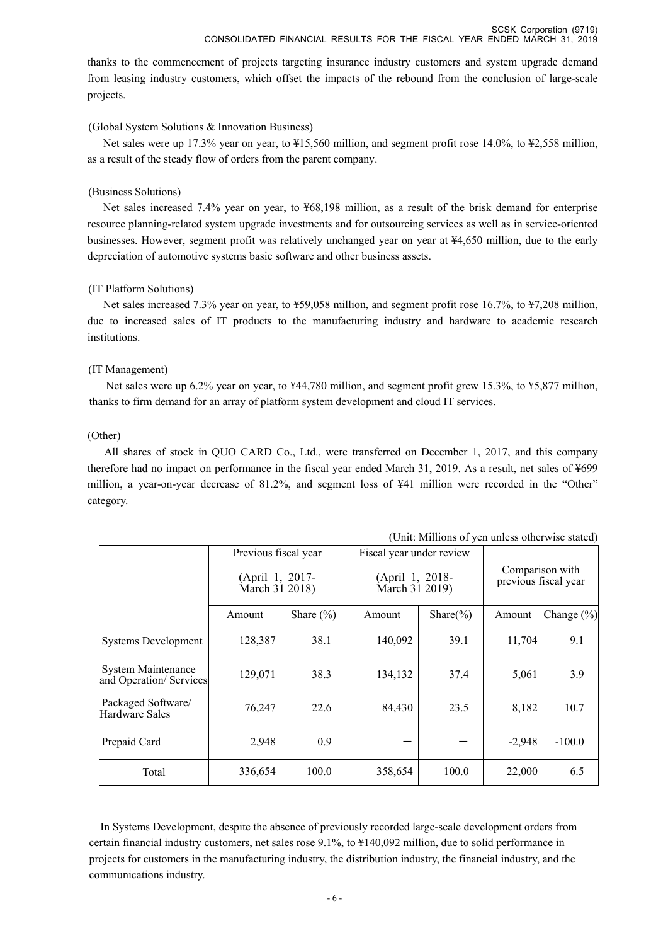thanks to the commencement of projects targeting insurance industry customers and system upgrade demand from leasing industry customers, which offset the impacts of the rebound from the conclusion of large-scale projects.

#### (Global System Solutions & Innovation Business)

Net sales were up 17.3% year on year, to ¥15,560 million, and segment profit rose 14.0%, to ¥2,558 million, as a result of the steady flow of orders from the parent company.

#### (Business Solutions)

Net sales increased 7.4% year on year, to ¥68,198 million, as a result of the brisk demand for enterprise resource planning-related system upgrade investments and for outsourcing services as well as in service-oriented businesses. However, segment profit was relatively unchanged year on year at ¥4,650 million, due to the early depreciation of automotive systems basic software and other business assets.

#### (IT Platform Solutions)

Net sales increased 7.3% year on year, to ¥59,058 million, and segment profit rose 16.7%, to ¥7,208 million, due to increased sales of IT products to the manufacturing industry and hardware to academic research institutions.

#### (IT Management)

Net sales were up 6.2% year on year, to ¥44,780 million, and segment profit grew 15.3%, to ¥5,877 million, thanks to firm demand for an array of platform system development and cloud IT services.

#### (Other)

All shares of stock in QUO CARD Co., Ltd., were transferred on December 1, 2017, and this company therefore had no impact on performance in the fiscal year ended March 31, 2019. As a result, net sales of ¥699 million, a year-on-year decrease of 81.2%, and segment loss of ¥41 million were recorded in the "Other" category.

|                                               | Previous fiscal year<br>(April 1, 2017- |               | Fiscal year under review          |               | Comparison with      |                |
|-----------------------------------------------|-----------------------------------------|---------------|-----------------------------------|---------------|----------------------|----------------|
|                                               | March 31 2018)                          |               | (April 1, 2018-<br>March 31 2019) |               | previous fiscal year |                |
|                                               | Amount                                  | Share $(\% )$ | Amount                            | Share $(\% )$ | Amount               | Change $(\% )$ |
| Systems Development                           | 128,387                                 | 38.1          | 140,092                           | 39.1          | 11,704               | 9.1            |
| System Maintenance<br>and Operation/ Services | 129,071                                 | 38.3          | 134,132                           | 37.4          | 5,061                | 3.9            |
| Packaged Software/<br>Hardware Sales          | 76,247                                  | 22.6          | 84,430                            | 23.5          | 8,182                | 10.7           |
| Prepaid Card                                  | 2,948                                   | 0.9           |                                   |               | $-2,948$             | $-100.0$       |
| Total                                         | 336,654                                 | 100.0         | 358,654                           | 100.0         | 22,000               | 6.5            |

(Unit: Millions of yen unless otherwise stated)

In Systems Development, despite the absence of previously recorded large-scale development orders from certain financial industry customers, net sales rose 9.1%, to ¥140,092 million, due to solid performance in projects for customers in the manufacturing industry, the distribution industry, the financial industry, and the communications industry.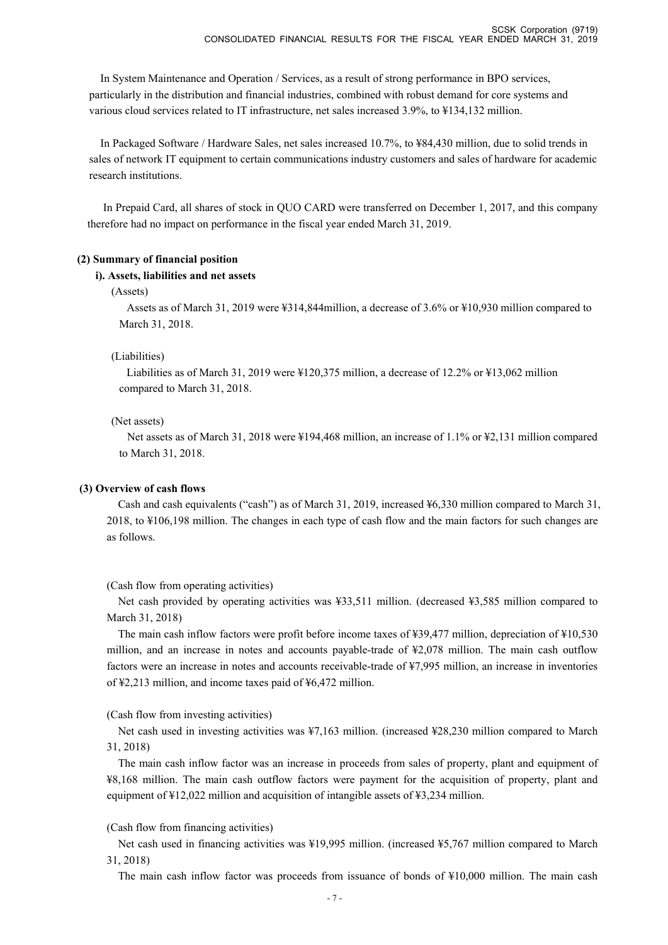In System Maintenance and Operation / Services, as a result of strong performance in BPO services, particularly in the distribution and financial industries, combined with robust demand for core systems and various cloud services related to IT infrastructure, net sales increased 3.9%, to ¥134,132 million.

In Packaged Software / Hardware Sales, net sales increased 10.7%, to ¥84,430 million, due to solid trends in sales of network IT equipment to certain communications industry customers and sales of hardware for academic research institutions.

In Prepaid Card, all shares of stock in QUO CARD were transferred on December 1, 2017, and this company therefore had no impact on performance in the fiscal year ended March 31, 2019.

#### **(2) Summary of financial position**

#### **i). Assets, liabilities and net assets**

#### (Assets)

Assets as of March 31, 2019 were ¥314,844million, a decrease of 3.6% or ¥10,930 million compared to March 31, 2018.

#### (Liabilities)

Liabilities as of March 31, 2019 were ¥120,375 million, a decrease of 12.2% or ¥13,062 million compared to March 31, 2018.

#### (Net assets)

Net assets as of March 31, 2018 were ¥194,468 million, an increase of 1.1% or ¥2,131 million compared to March 31, 2018.

#### **(3) Overview of cash flows**

Cash and cash equivalents ("cash") as of March 31, 2019, increased ¥6,330 million compared to March 31, 2018, to ¥106,198 million. The changes in each type of cash flow and the main factors for such changes are as follows.

#### (Cash flow from operating activities)

Net cash provided by operating activities was ¥33,511 million. (decreased ¥3,585 million compared to March 31, 2018)

The main cash inflow factors were profit before income taxes of ¥39,477 million, depreciation of ¥10,530 million, and an increase in notes and accounts payable-trade of ¥2,078 million. The main cash outflow factors were an increase in notes and accounts receivable-trade of ¥7,995 million, an increase in inventories of ¥2,213 million, and income taxes paid of ¥6,472 million.

(Cash flow from investing activities)

Net cash used in investing activities was ¥7,163 million. (increased ¥28,230 million compared to March 31, 2018)

The main cash inflow factor was an increase in proceeds from sales of property, plant and equipment of ¥8,168 million. The main cash outflow factors were payment for the acquisition of property, plant and equipment of ¥12,022 million and acquisition of intangible assets of ¥3,234 million.

#### (Cash flow from financing activities)

Net cash used in financing activities was ¥19,995 million. (increased ¥5,767 million compared to March 31, 2018)

The main cash inflow factor was proceeds from issuance of bonds of ¥10,000 million. The main cash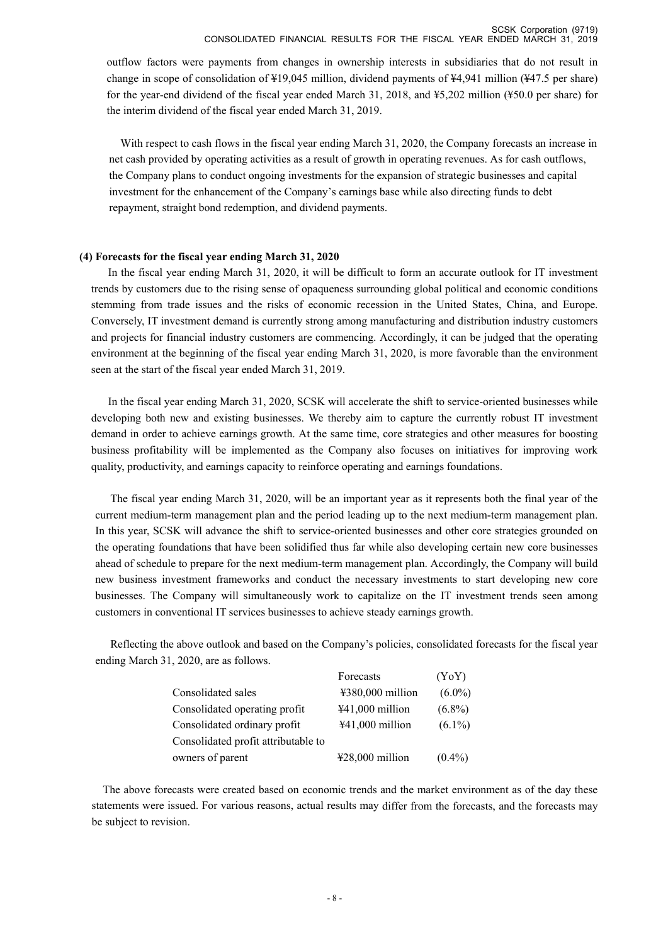outflow factors were payments from changes in ownership interests in subsidiaries that do not result in change in scope of consolidation of ¥19,045 million, dividend payments of ¥4,941 million (¥47.5 per share) for the year-end dividend of the fiscal year ended March 31, 2018, and ¥5,202 million (¥50.0 per share) for the interim dividend of the fiscal year ended March 31, 2019.

With respect to cash flows in the fiscal year ending March 31, 2020, the Company forecasts an increase in net cash provided by operating activities as a result of growth in operating revenues. As for cash outflows, the Company plans to conduct ongoing investments for the expansion of strategic businesses and capital investment for the enhancement of the Company's earnings base while also directing funds to debt repayment, straight bond redemption, and dividend payments.

#### **(4) Forecasts for the fiscal year ending March 31, 2020**

In the fiscal year ending March 31, 2020, it will be difficult to form an accurate outlook for IT investment trends by customers due to the rising sense of opaqueness surrounding global political and economic conditions stemming from trade issues and the risks of economic recession in the United States, China, and Europe. Conversely, IT investment demand is currently strong among manufacturing and distribution industry customers and projects for financial industry customers are commencing. Accordingly, it can be judged that the operating environment at the beginning of the fiscal year ending March 31, 2020, is more favorable than the environment seen at the start of the fiscal year ended March 31, 2019.

In the fiscal year ending March 31, 2020, SCSK will accelerate the shift to service-oriented businesses while developing both new and existing businesses. We thereby aim to capture the currently robust IT investment demand in order to achieve earnings growth. At the same time, core strategies and other measures for boosting business profitability will be implemented as the Company also focuses on initiatives for improving work quality, productivity, and earnings capacity to reinforce operating and earnings foundations.

The fiscal year ending March 31, 2020, will be an important year as it represents both the final year of the current medium-term management plan and the period leading up to the next medium-term management plan. In this year, SCSK will advance the shift to service-oriented businesses and other core strategies grounded on the operating foundations that have been solidified thus far while also developing certain new core businesses ahead of schedule to prepare for the next medium-term management plan. Accordingly, the Company will build new business investment frameworks and conduct the necessary investments to start developing new core businesses. The Company will simultaneously work to capitalize on the IT investment trends seen among customers in conventional IT services businesses to achieve steady earnings growth.

Reflecting the above outlook and based on the Company's policies, consolidated forecasts for the fiscal year ending March 31, 2020, are as follows.

|                                     | Forecasts                            | (YoY)     |
|-------------------------------------|--------------------------------------|-----------|
| Consolidated sales                  | $\text{\#}380,000$ million           | $(6.0\%)$ |
| Consolidated operating profit       | $441,000$ million                    | $(6.8\%)$ |
| Consolidated ordinary profit        | $441,000$ million                    | $(6.1\%)$ |
| Consolidated profit attributable to |                                      |           |
| owners of parent                    | $\text{\textsterling}28,000$ million | $(0.4\%)$ |

The above forecasts were created based on economic trends and the market environment as of the day these statements were issued. For various reasons, actual results may differ from the forecasts, and the forecasts may be subject to revision.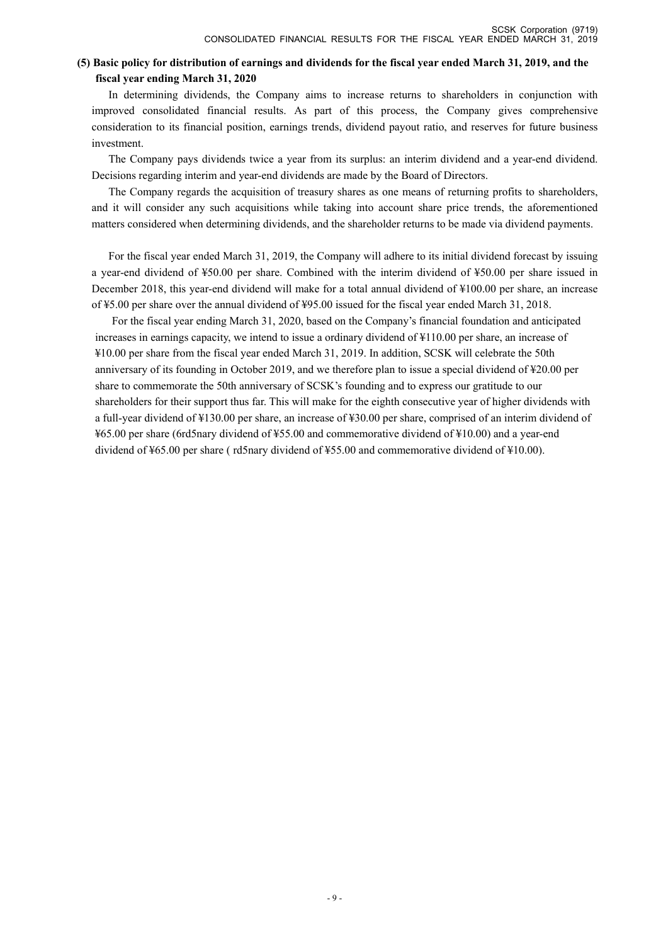### **(5) Basic policy for distribution of earnings and dividends for the fiscal year ended March 31, 2019, and the fiscal year ending March 31, 2020**

In determining dividends, the Company aims to increase returns to shareholders in conjunction with improved consolidated financial results. As part of this process, the Company gives comprehensive consideration to its financial position, earnings trends, dividend payout ratio, and reserves for future business investment.

The Company pays dividends twice a year from its surplus: an interim dividend and a year-end dividend. Decisions regarding interim and year-end dividends are made by the Board of Directors.

The Company regards the acquisition of treasury shares as one means of returning profits to shareholders, and it will consider any such acquisitions while taking into account share price trends, the aforementioned matters considered when determining dividends, and the shareholder returns to be made via dividend payments.

For the fiscal year ended March 31, 2019, the Company will adhere to its initial dividend forecast by issuing a year-end dividend of ¥50.00 per share. Combined with the interim dividend of ¥50.00 per share issued in December 2018, this year-end dividend will make for a total annual dividend of ¥100.00 per share, an increase of ¥5.00 per share over the annual dividend of ¥95.00 issued for the fiscal year ended March 31, 2018.

For the fiscal year ending March 31, 2020, based on the Company's financial foundation and anticipated increases in earnings capacity, we intend to issue a ordinary dividend of ¥110.00 per share, an increase of ¥10.00 per share from the fiscal year ended March 31, 2019. In addition, SCSK will celebrate the 50th anniversary of its founding in October 2019, and we therefore plan to issue a special dividend of ¥20.00 per share to commemorate the 50th anniversary of SCSK's founding and to express our gratitude to our shareholders for their support thus far. This will make for the eighth consecutive year of higher dividends with a full-year dividend of ¥130.00 per share, an increase of ¥30.00 per share, comprised of an interim dividend of ¥65.00 per share (6rd5nary dividend of ¥55.00 and commemorative dividend of ¥10.00) and a year-end dividend of ¥65.00 per share ( rd5nary dividend of ¥55.00 and commemorative dividend of ¥10.00).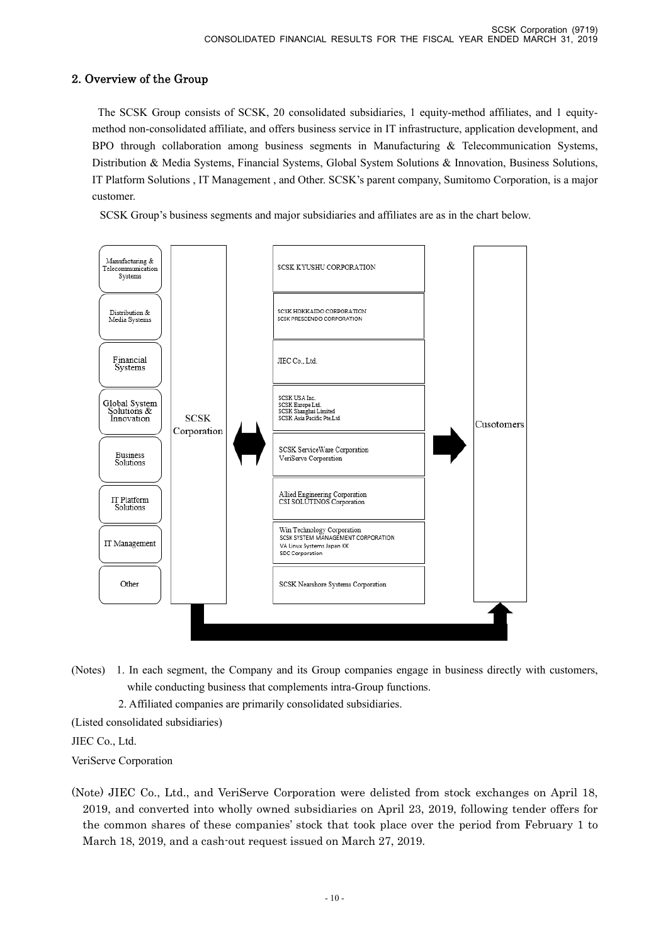# 2. Overview of the Group

 The SCSK Group consists of SCSK, 20 consolidated subsidiaries, 1 equity-method affiliates, and 1 equitymethod non-consolidated affiliate, and offers business service in IT infrastructure, application development, and BPO through collaboration among business segments in Manufacturing & Telecommunication Systems, Distribution & Media Systems, Financial Systems, Global System Solutions & Innovation, Business Solutions, IT Platform Solutions , IT Management , and Other. SCSK's parent company, Sumitomo Corporation, is a major customer.

SCSK Group's business segments and major subsidiaries and affiliates are as in the chart below.



(Notes) 1. In each segment, the Company and its Group companies engage in business directly with customers, while conducting business that complements intra-Group functions.

2. Affiliated companies are primarily consolidated subsidiaries.

(Listed consolidated subsidiaries)

JIEC Co., Ltd.

VeriServe Corporation

(Note) JIEC Co., Ltd., and VeriServe Corporation were delisted from stock exchanges on April 18, 2019, and converted into wholly owned subsidiaries on April 23, 2019, following tender offers for the common shares of these companies' stock that took place over the period from February 1 to March 18, 2019, and a cash-out request issued on March 27, 2019.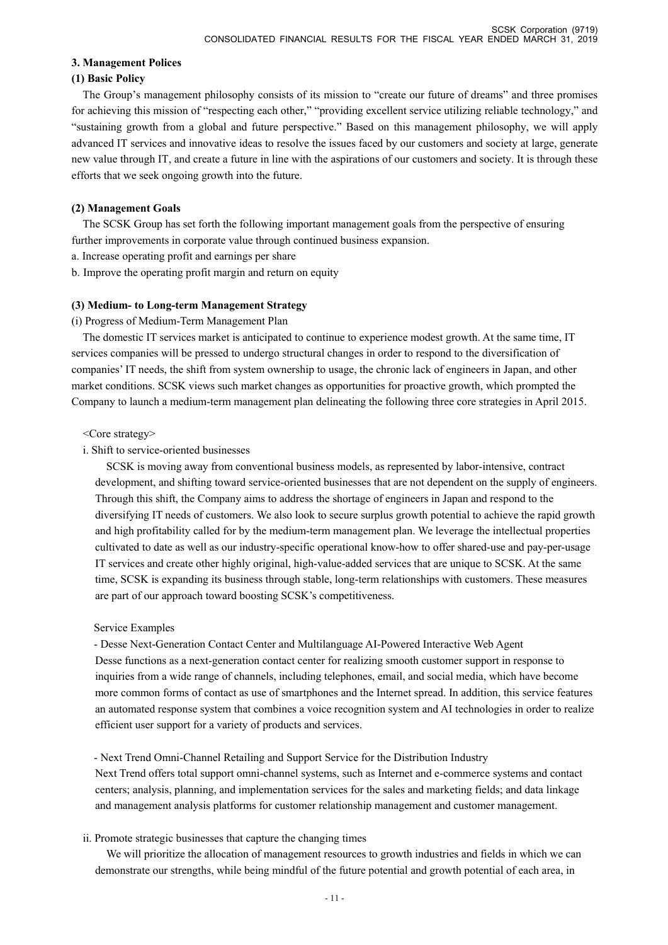#### **3. Management Polices**

#### **(1) Basic Policy**

The Group's management philosophy consists of its mission to "create our future of dreams" and three promises for achieving this mission of "respecting each other," "providing excellent service utilizing reliable technology," and "sustaining growth from a global and future perspective." Based on this management philosophy, we will apply advanced IT services and innovative ideas to resolve the issues faced by our customers and society at large, generate new value through IT, and create a future in line with the aspirations of our customers and society. It is through these efforts that we seek ongoing growth into the future.

### **(2) Management Goals**

The SCSK Group has set forth the following important management goals from the perspective of ensuring further improvements in corporate value through continued business expansion.

- a. Increase operating profit and earnings per share
- b. Improve the operating profit margin and return on equity

#### **(3) Medium- to Long-term Management Strategy**

(i) Progress of Medium-Term Management Plan

The domestic IT services market is anticipated to continue to experience modest growth. At the same time, IT services companies will be pressed to undergo structural changes in order to respond to the diversification of companies' IT needs, the shift from system ownership to usage, the chronic lack of engineers in Japan, and other market conditions. SCSK views such market changes as opportunities for proactive growth, which prompted the Company to launch a medium-term management plan delineating the following three core strategies in April 2015.

#### <Core strategy>

i. Shift to service-oriented businesses

SCSK is moving away from conventional business models, as represented by labor-intensive, contract development, and shifting toward service-oriented businesses that are not dependent on the supply of engineers. Through this shift, the Company aims to address the shortage of engineers in Japan and respond to the diversifying IT needs of customers. We also look to secure surplus growth potential to achieve the rapid growth and high profitability called for by the medium-term management plan. We leverage the intellectual properties cultivated to date as well as our industry-specific operational know-how to offer shared-use and pay-per-usage IT services and create other highly original, high-value-added services that are unique to SCSK. At the same time, SCSK is expanding its business through stable, long-term relationships with customers. These measures are part of our approach toward boosting SCSK's competitiveness.

#### Service Examples

- Desse Next-Generation Contact Center and Multilanguage AI-Powered Interactive Web Agent Desse functions as a next-generation contact center for realizing smooth customer support in response to inquiries from a wide range of channels, including telephones, email, and social media, which have become more common forms of contact as use of smartphones and the Internet spread. In addition, this service features an automated response system that combines a voice recognition system and AI technologies in order to realize efficient user support for a variety of products and services.

- Next Trend Omni-Channel Retailing and Support Service for the Distribution Industry

Next Trend offers total support omni-channel systems, such as Internet and e-commerce systems and contact centers; analysis, planning, and implementation services for the sales and marketing fields; and data linkage and management analysis platforms for customer relationship management and customer management.

#### ii. Promote strategic businesses that capture the changing times

We will prioritize the allocation of management resources to growth industries and fields in which we can demonstrate our strengths, while being mindful of the future potential and growth potential of each area, in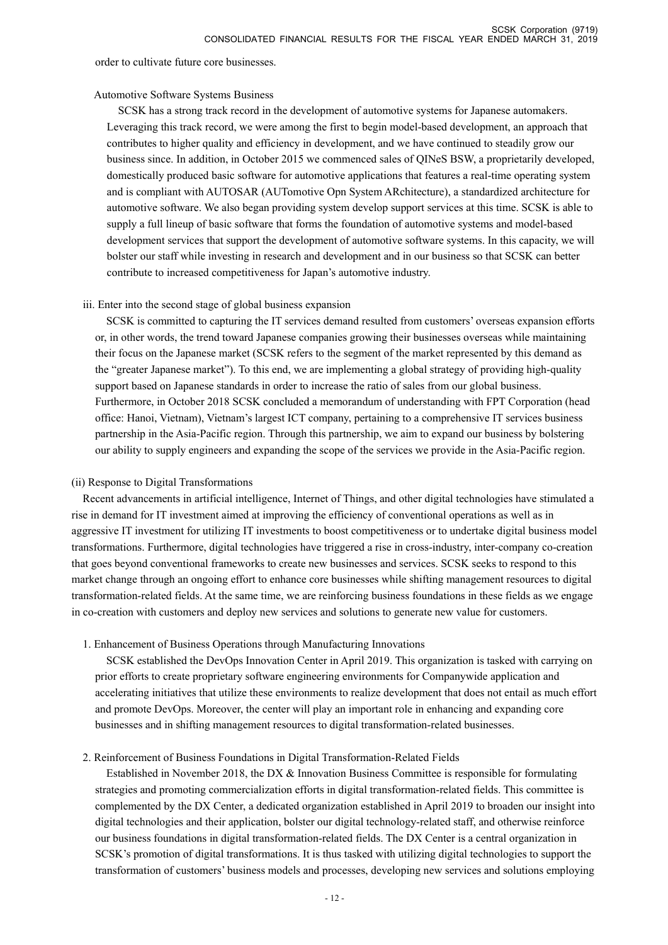order to cultivate future core businesses.

#### Automotive Software Systems Business

SCSK has a strong track record in the development of automotive systems for Japanese automakers. Leveraging this track record, we were among the first to begin model-based development, an approach that contributes to higher quality and efficiency in development, and we have continued to steadily grow our business since. In addition, in October 2015 we commenced sales of QINeS BSW, a proprietarily developed, domestically produced basic software for automotive applications that features a real-time operating system and is compliant with AUTOSAR (AUTomotive Opn System ARchitecture), a standardized architecture for automotive software. We also began providing system develop support services at this time. SCSK is able to supply a full lineup of basic software that forms the foundation of automotive systems and model-based development services that support the development of automotive software systems. In this capacity, we will bolster our staff while investing in research and development and in our business so that SCSK can better contribute to increased competitiveness for Japan's automotive industry.

### iii. Enter into the second stage of global business expansion

SCSK is committed to capturing the IT services demand resulted from customers' overseas expansion efforts or, in other words, the trend toward Japanese companies growing their businesses overseas while maintaining their focus on the Japanese market (SCSK refers to the segment of the market represented by this demand as the "greater Japanese market"). To this end, we are implementing a global strategy of providing high-quality support based on Japanese standards in order to increase the ratio of sales from our global business. Furthermore, in October 2018 SCSK concluded a memorandum of understanding with FPT Corporation (head office: Hanoi, Vietnam), Vietnam's largest ICT company, pertaining to a comprehensive IT services business partnership in the Asia-Pacific region. Through this partnership, we aim to expand our business by bolstering our ability to supply engineers and expanding the scope of the services we provide in the Asia-Pacific region.

#### (ii) Response to Digital Transformations

Recent advancements in artificial intelligence, Internet of Things, and other digital technologies have stimulated a rise in demand for IT investment aimed at improving the efficiency of conventional operations as well as in aggressive IT investment for utilizing IT investments to boost competitiveness or to undertake digital business model transformations. Furthermore, digital technologies have triggered a rise in cross-industry, inter-company co-creation that goes beyond conventional frameworks to create new businesses and services. SCSK seeks to respond to this market change through an ongoing effort to enhance core businesses while shifting management resources to digital transformation-related fields. At the same time, we are reinforcing business foundations in these fields as we engage in co-creation with customers and deploy new services and solutions to generate new value for customers.

1. Enhancement of Business Operations through Manufacturing Innovations

SCSK established the DevOps Innovation Center in April 2019. This organization is tasked with carrying on prior efforts to create proprietary software engineering environments for Companywide application and accelerating initiatives that utilize these environments to realize development that does not entail as much effort and promote DevOps. Moreover, the center will play an important role in enhancing and expanding core businesses and in shifting management resources to digital transformation-related businesses.

### 2. Reinforcement of Business Foundations in Digital Transformation-Related Fields

Established in November 2018, the DX & Innovation Business Committee is responsible for formulating strategies and promoting commercialization efforts in digital transformation-related fields. This committee is complemented by the DX Center, a dedicated organization established in April 2019 to broaden our insight into digital technologies and their application, bolster our digital technology-related staff, and otherwise reinforce our business foundations in digital transformation-related fields. The DX Center is a central organization in SCSK's promotion of digital transformations. It is thus tasked with utilizing digital technologies to support the transformation of customers' business models and processes, developing new services and solutions employing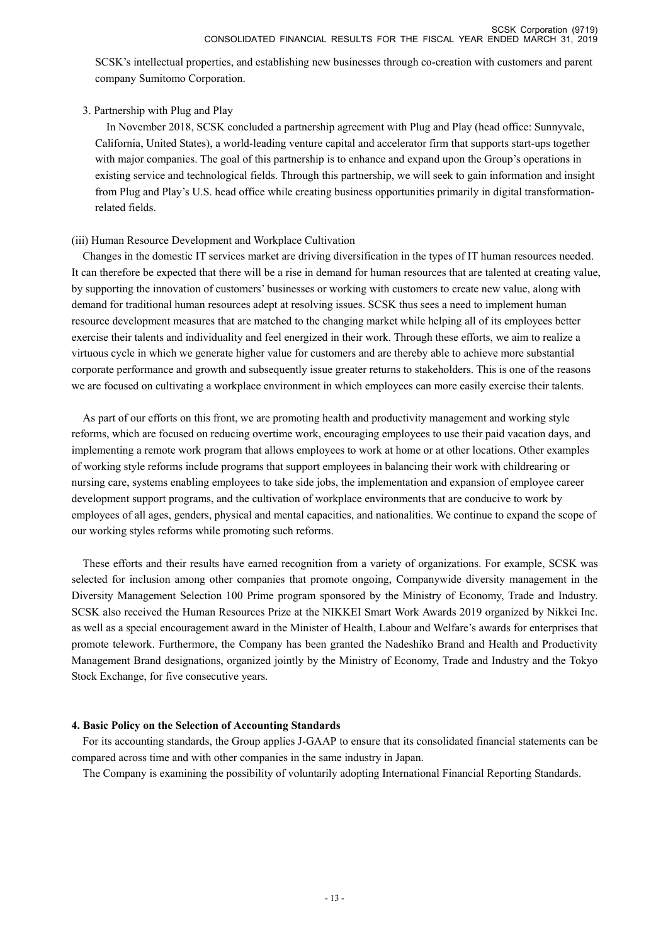SCSK's intellectual properties, and establishing new businesses through co-creation with customers and parent company Sumitomo Corporation.

### 3. Partnership with Plug and Play

In November 2018, SCSK concluded a partnership agreement with Plug and Play (head office: Sunnyvale, California, United States), a world-leading venture capital and accelerator firm that supports start-ups together with major companies. The goal of this partnership is to enhance and expand upon the Group's operations in existing service and technological fields. Through this partnership, we will seek to gain information and insight from Plug and Play's U.S. head office while creating business opportunities primarily in digital transformationrelated fields.

### (iii) Human Resource Development and Workplace Cultivation

Changes in the domestic IT services market are driving diversification in the types of IT human resources needed. It can therefore be expected that there will be a rise in demand for human resources that are talented at creating value, by supporting the innovation of customers' businesses or working with customers to create new value, along with demand for traditional human resources adept at resolving issues. SCSK thus sees a need to implement human resource development measures that are matched to the changing market while helping all of its employees better exercise their talents and individuality and feel energized in their work. Through these efforts, we aim to realize a virtuous cycle in which we generate higher value for customers and are thereby able to achieve more substantial corporate performance and growth and subsequently issue greater returns to stakeholders. This is one of the reasons we are focused on cultivating a workplace environment in which employees can more easily exercise their talents.

As part of our efforts on this front, we are promoting health and productivity management and working style reforms, which are focused on reducing overtime work, encouraging employees to use their paid vacation days, and implementing a remote work program that allows employees to work at home or at other locations. Other examples of working style reforms include programs that support employees in balancing their work with childrearing or nursing care, systems enabling employees to take side jobs, the implementation and expansion of employee career development support programs, and the cultivation of workplace environments that are conducive to work by employees of all ages, genders, physical and mental capacities, and nationalities. We continue to expand the scope of our working styles reforms while promoting such reforms.

These efforts and their results have earned recognition from a variety of organizations. For example, SCSK was selected for inclusion among other companies that promote ongoing, Companywide diversity management in the Diversity Management Selection 100 Prime program sponsored by the Ministry of Economy, Trade and Industry. SCSK also received the Human Resources Prize at the NIKKEI Smart Work Awards 2019 organized by Nikkei Inc. as well as a special encouragement award in the Minister of Health, Labour and Welfare's awards for enterprises that promote telework. Furthermore, the Company has been granted the Nadeshiko Brand and Health and Productivity Management Brand designations, organized jointly by the Ministry of Economy, Trade and Industry and the Tokyo Stock Exchange, for five consecutive years.

### **4. Basic Policy on the Selection of Accounting Standards**

For its accounting standards, the Group applies J-GAAP to ensure that its consolidated financial statements can be compared across time and with other companies in the same industry in Japan.

The Company is examining the possibility of voluntarily adopting International Financial Reporting Standards.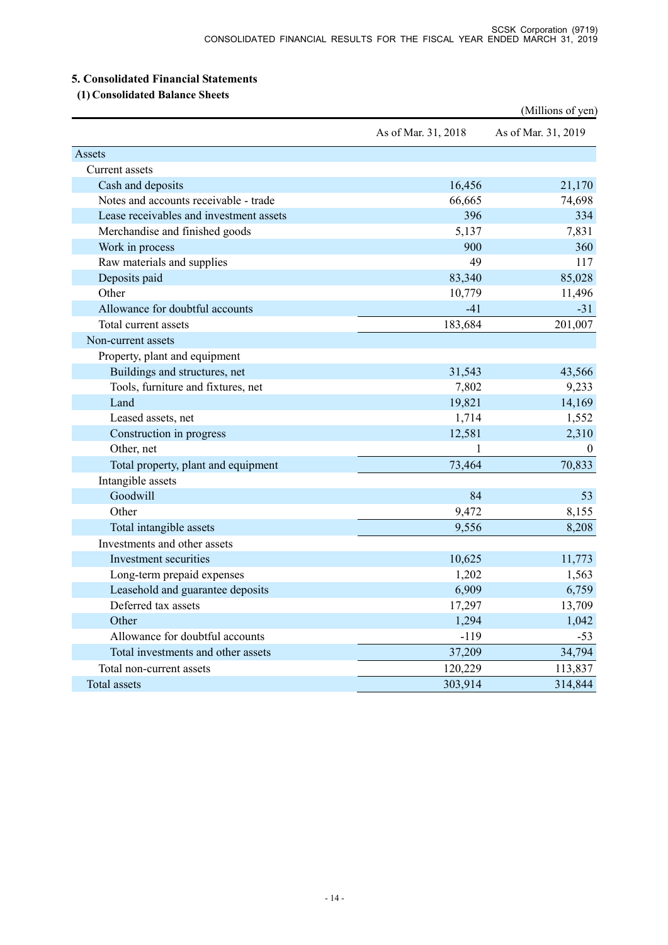### **5. Consolidated Financial Statements**

 **(1) Consolidated Balance Sheets** 

|                                         |                     | (Millions of yen)   |
|-----------------------------------------|---------------------|---------------------|
|                                         | As of Mar. 31, 2018 | As of Mar. 31, 2019 |
| Assets                                  |                     |                     |
| Current assets                          |                     |                     |
| Cash and deposits                       | 16,456              | 21,170              |
| Notes and accounts receivable - trade   | 66,665              | 74,698              |
| Lease receivables and investment assets | 396                 | 334                 |
| Merchandise and finished goods          | 5,137               | 7,831               |
| Work in process                         | 900                 | 360                 |
| Raw materials and supplies              | 49                  | 117                 |
| Deposits paid                           | 83,340              | 85,028              |
| Other                                   | 10,779              | 11,496              |
| Allowance for doubtful accounts         | $-41$               | $-31$               |
| Total current assets                    | 183,684             | 201,007             |
| Non-current assets                      |                     |                     |
| Property, plant and equipment           |                     |                     |
| Buildings and structures, net           | 31,543              | 43,566              |
| Tools, furniture and fixtures, net      | 7,802               | 9,233               |
| Land                                    | 19,821              | 14,169              |
| Leased assets, net                      | 1,714               | 1,552               |
| Construction in progress                | 12,581              | 2,310               |
| Other, net                              |                     | $\theta$            |
| Total property, plant and equipment     | 73,464              | 70,833              |
| Intangible assets                       |                     |                     |
| Goodwill                                | 84                  | 53                  |
| Other                                   | 9,472               | 8,155               |
| Total intangible assets                 | 9,556               | 8,208               |
| Investments and other assets            |                     |                     |
| Investment securities                   | 10,625              | 11,773              |
| Long-term prepaid expenses              | 1,202               | 1,563               |
| Leasehold and guarantee deposits        | 6,909               | 6,759               |
| Deferred tax assets                     | 17,297              | 13,709              |
| Other                                   | 1,294               | 1,042               |
| Allowance for doubtful accounts         | $-119$              | $-53$               |
| Total investments and other assets      | 37,209              | 34,794              |
| Total non-current assets                | 120,229             | 113,837             |
| Total assets                            | 303,914             | 314,844             |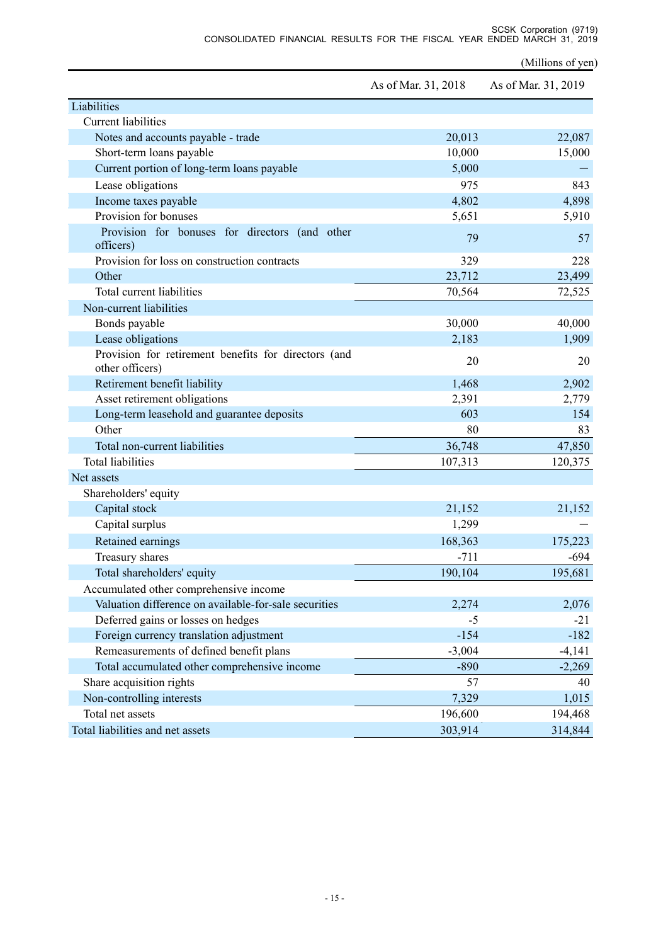(Millions of yen)

|                                                                         | As of Mar. 31, 2018 | As of Mar. 31, 2019 |
|-------------------------------------------------------------------------|---------------------|---------------------|
| Liabilities                                                             |                     |                     |
| <b>Current liabilities</b>                                              |                     |                     |
| Notes and accounts payable - trade                                      | 20,013              | 22,087              |
| Short-term loans payable                                                | 10,000              | 15,000              |
| Current portion of long-term loans payable                              | 5,000               |                     |
| Lease obligations                                                       | 975                 | 843                 |
| Income taxes payable                                                    | 4,802               | 4,898               |
| Provision for bonuses                                                   | 5,651               | 5,910               |
| Provision for bonuses for directors (and other<br>officers)             | 79                  | 57                  |
| Provision for loss on construction contracts                            | 329                 | 228                 |
| Other                                                                   | 23,712              | 23,499              |
| Total current liabilities                                               | 70,564              | 72,525              |
| Non-current liabilities                                                 |                     |                     |
| Bonds payable                                                           | 30,000              | 40,000              |
| Lease obligations                                                       | 2,183               | 1,909               |
| Provision for retirement benefits for directors (and<br>other officers) | 20                  | 20                  |
| Retirement benefit liability                                            | 1,468               | 2,902               |
| Asset retirement obligations                                            | 2,391               | 2,779               |
| Long-term leasehold and guarantee deposits                              | 603                 | 154                 |
| Other                                                                   | 80                  | 83                  |
| Total non-current liabilities                                           | 36,748              | 47,850              |
| <b>Total liabilities</b>                                                | 107,313             | 120,375             |
| Net assets                                                              |                     |                     |
| Shareholders' equity                                                    |                     |                     |
| Capital stock                                                           | 21,152              | 21,152              |
| Capital surplus                                                         | 1,299               |                     |
| Retained earnings                                                       | 168,363             | 175,223             |
| Treasury shares                                                         | $-711$              | $-694$              |
| Total shareholders' equity                                              | 190,104             | 195,681             |
| Accumulated other comprehensive income                                  |                     |                     |
| Valuation difference on available-for-sale securities                   | 2,274               | 2,076               |
| Deferred gains or losses on hedges                                      | $-5$                | $-21$               |
| Foreign currency translation adjustment                                 | $-154$              | $-182$              |
| Remeasurements of defined benefit plans                                 | $-3,004$            | $-4,141$            |
| Total accumulated other comprehensive income                            | $-890$              | $-2,269$            |
| Share acquisition rights                                                | 57                  | 40                  |
| Non-controlling interests                                               | 7,329               | 1,015               |
| Total net assets                                                        | 196,600             | 194,468             |
| Total liabilities and net assets                                        | 303,914             | 314,844             |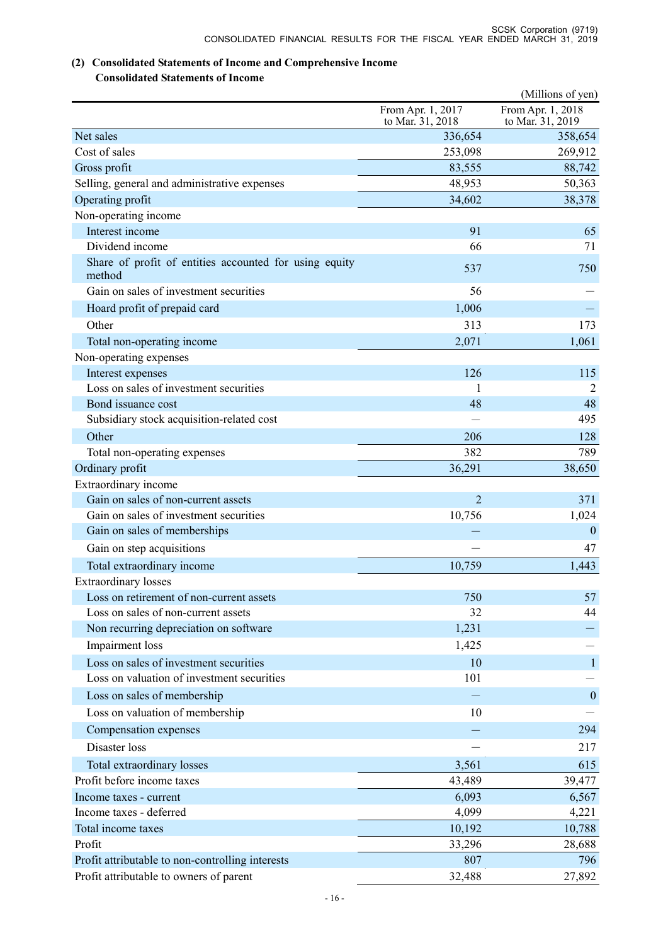# **(2) Consolidated Statements of Income and Comprehensive Income**

### **Consolidated Statements of Income**

|                                                                                             |                                       | (Millions of yen)                     |
|---------------------------------------------------------------------------------------------|---------------------------------------|---------------------------------------|
|                                                                                             | From Apr. 1, 2017<br>to Mar. 31, 2018 | From Apr. 1, 2018<br>to Mar. 31, 2019 |
| Net sales                                                                                   | 336,654                               | 358,654                               |
| Cost of sales                                                                               | 253,098                               | 269,912                               |
| Gross profit                                                                                | 83,555                                | 88,742                                |
| Selling, general and administrative expenses                                                | 48,953                                | 50,363                                |
| Operating profit                                                                            | 34,602                                | 38,378                                |
| Non-operating income                                                                        |                                       |                                       |
| Interest income                                                                             | 91                                    | 65                                    |
| Dividend income                                                                             | 66                                    | 71                                    |
| Share of profit of entities accounted for using equity<br>method                            | 537                                   | 750                                   |
| Gain on sales of investment securities                                                      | 56                                    |                                       |
| Hoard profit of prepaid card                                                                | 1,006                                 |                                       |
| Other                                                                                       | 313                                   | 173                                   |
| Total non-operating income                                                                  | 2,071                                 | 1,061                                 |
| Non-operating expenses                                                                      |                                       |                                       |
| Interest expenses                                                                           | 126                                   | 115                                   |
| Loss on sales of investment securities                                                      | 1                                     | 2                                     |
| Bond issuance cost                                                                          | 48                                    | 48                                    |
| Subsidiary stock acquisition-related cost                                                   |                                       | 495                                   |
| Other                                                                                       | 206                                   | 128                                   |
| Total non-operating expenses                                                                | 382                                   | 789                                   |
| Ordinary profit                                                                             | 36,291                                | 38,650                                |
| Extraordinary income                                                                        |                                       |                                       |
| Gain on sales of non-current assets                                                         | $\overline{2}$                        | 371                                   |
| Gain on sales of investment securities                                                      | 10,756                                | 1,024                                 |
| Gain on sales of memberships                                                                |                                       | $\boldsymbol{0}$                      |
| Gain on step acquisitions                                                                   |                                       | 47                                    |
| Total extraordinary income                                                                  | 10,759                                | 1,443                                 |
| <b>Extraordinary</b> losses                                                                 |                                       |                                       |
| Loss on retirement of non-current assets                                                    | 750                                   | 57                                    |
| Loss on sales of non-current assets                                                         | 32                                    | 44                                    |
| Non recurring depreciation on software                                                      | 1,231                                 |                                       |
| Impairment loss                                                                             | 1,425                                 |                                       |
| Loss on sales of investment securities                                                      | 10                                    | $\mathbf{1}$                          |
| Loss on valuation of investment securities                                                  | 101                                   |                                       |
| Loss on sales of membership                                                                 |                                       | $\boldsymbol{0}$                      |
| Loss on valuation of membership                                                             | 10                                    |                                       |
| Compensation expenses                                                                       |                                       | 294                                   |
| Disaster loss                                                                               |                                       | 217                                   |
|                                                                                             |                                       |                                       |
| Total extraordinary losses                                                                  | 3,561                                 | 615                                   |
| Profit before income taxes                                                                  | 43,489                                | 39,477                                |
| Income taxes - current                                                                      | 6,093                                 | 6,567                                 |
| Income taxes - deferred                                                                     | 4,099                                 | 4,221                                 |
| Total income taxes<br>Profit                                                                | 10,192                                | 10,788                                |
|                                                                                             | 33,296                                | 28,688                                |
| Profit attributable to non-controlling interests<br>Profit attributable to owners of parent | 807<br>32,488                         | 796<br>27,892                         |
|                                                                                             |                                       |                                       |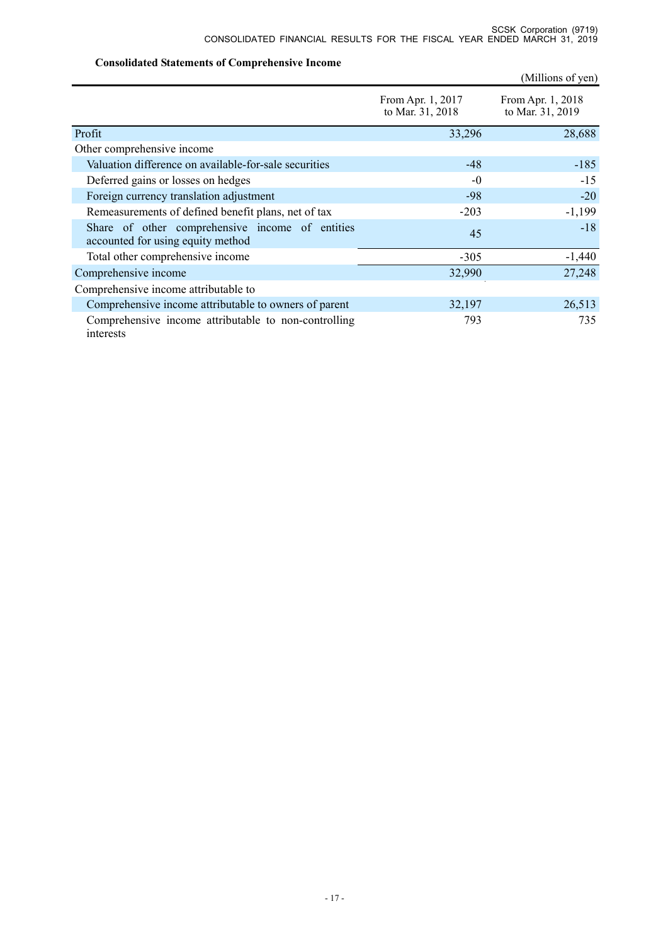### **Consolidated Statements of Comprehensive Income**

|                                                                                      |                                       | (Millions of yen)                     |
|--------------------------------------------------------------------------------------|---------------------------------------|---------------------------------------|
|                                                                                      | From Apr. 1, 2017<br>to Mar. 31, 2018 | From Apr. 1, 2018<br>to Mar. 31, 2019 |
| Profit                                                                               | 33,296                                | 28,688                                |
| Other comprehensive income                                                           |                                       |                                       |
| Valuation difference on available-for-sale securities                                | $-48$                                 | $-185$                                |
| Deferred gains or losses on hedges                                                   | $-0$                                  | $-15$                                 |
| Foreign currency translation adjustment                                              | $-98$                                 | $-20$                                 |
| Remeasurements of defined benefit plans, net of tax                                  | $-203$                                | $-1,199$                              |
| Share of other comprehensive income of entities<br>accounted for using equity method | 45                                    | $-18$                                 |
| Total other comprehensive income                                                     | $-305$                                | $-1,440$                              |
| Comprehensive income                                                                 | 32,990                                | 27,248                                |
| Comprehensive income attributable to                                                 |                                       |                                       |
| Comprehensive income attributable to owners of parent                                | 32,197                                | 26,513                                |
| Comprehensive income attributable to non-controlling<br>interests                    | 793                                   | 735                                   |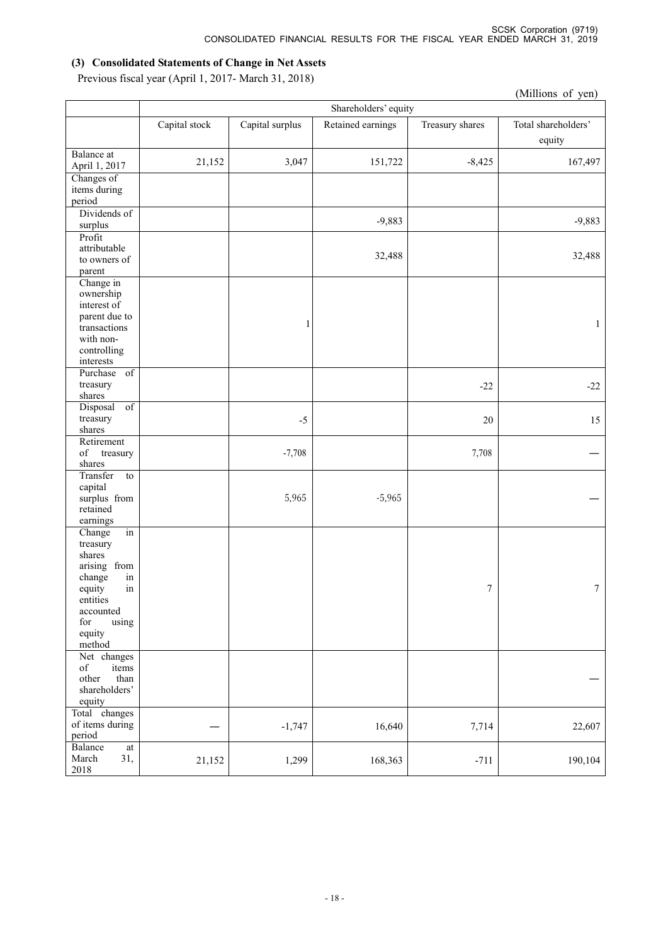### **(3) Consolidated Statements of Change in Net Assets**

Previous fiscal year (April 1, 2017- March 31, 2018)

|                                                                                                                                                 |               |                      |                   |                 | (Millions of yen)             |  |  |
|-------------------------------------------------------------------------------------------------------------------------------------------------|---------------|----------------------|-------------------|-----------------|-------------------------------|--|--|
|                                                                                                                                                 |               | Shareholders' equity |                   |                 |                               |  |  |
|                                                                                                                                                 | Capital stock | Capital surplus      | Retained earnings | Treasury shares | Total shareholders'<br>equity |  |  |
| Balance at<br>April 1, 2017                                                                                                                     | 21,152        | 3,047                | 151,722           | $-8,425$        | 167,497                       |  |  |
| Changes of<br>items during<br>period                                                                                                            |               |                      |                   |                 |                               |  |  |
| Dividends of<br>surplus                                                                                                                         |               |                      | $-9,883$          |                 | $-9,883$                      |  |  |
| Profit<br>attributable<br>to owners of<br>parent                                                                                                |               |                      | 32,488            |                 | 32,488                        |  |  |
| Change in<br>ownership<br>interest of<br>parent due to<br>transactions<br>with non-<br>controlling<br>interests                                 |               | 1                    |                   |                 | $\mathbf{1}$                  |  |  |
| Purchase of<br>treasury<br>shares                                                                                                               |               |                      |                   | $-22$           | $-22$                         |  |  |
| Disposal<br>$\overline{of}$<br>treasury<br>shares                                                                                               |               | $-5$                 |                   | 20              | 15                            |  |  |
| Retirement<br>$_{\mathrm{of}}$<br>treasury<br>shares                                                                                            |               | $-7,708$             |                   | 7,708           |                               |  |  |
| Transfer<br>to<br>capital<br>surplus from<br>retained<br>earnings                                                                               |               | 5,965                | $-5,965$          |                 |                               |  |  |
| Change<br>in<br>treasury<br>shares<br>arising from<br>change<br>in<br>in<br>equity<br>entities<br>accounted<br>using<br>for<br>equity<br>method |               |                      |                   | 7               | $\tau$                        |  |  |
| Net changes<br>$_{\mathrm{of}}$<br>items<br>other<br>than<br>shareholders'<br>equity                                                            |               |                      |                   |                 |                               |  |  |
| Total changes<br>of items during<br>period                                                                                                      |               | $-1,747$             | 16,640            | 7,714           | 22,607                        |  |  |
| Balance<br>$\operatorname{at}$<br>31,<br>March<br>2018                                                                                          | 21,152        | 1,299                | 168,363           | $-711$          | 190,104                       |  |  |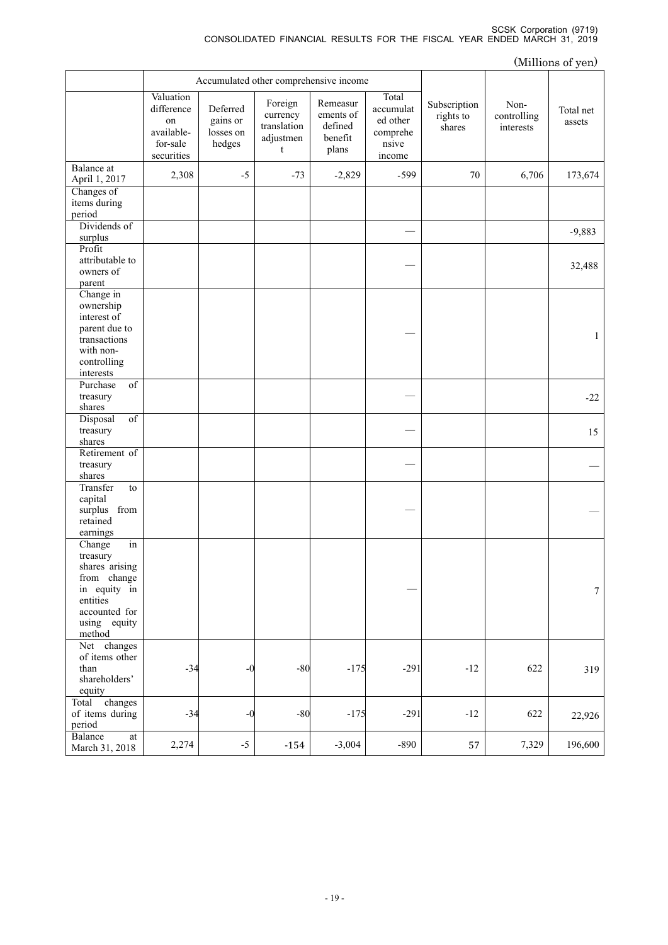|                                                                                                                                  |                                                                       |                                             |                                                      |                                                      |                                                               |                                     |                                  | (Millions of yen)   |
|----------------------------------------------------------------------------------------------------------------------------------|-----------------------------------------------------------------------|---------------------------------------------|------------------------------------------------------|------------------------------------------------------|---------------------------------------------------------------|-------------------------------------|----------------------------------|---------------------|
|                                                                                                                                  |                                                                       |                                             | Accumulated other comprehensive income               |                                                      |                                                               |                                     |                                  |                     |
|                                                                                                                                  | Valuation<br>difference<br>on<br>available-<br>for-sale<br>securities | Deferred<br>gains or<br>losses on<br>hedges | Foreign<br>currency<br>translation<br>adjustmen<br>t | Remeasur<br>ements of<br>defined<br>benefit<br>plans | Total<br>accumulat<br>ed other<br>comprehe<br>nsive<br>income | Subscription<br>rights to<br>shares | Non-<br>controlling<br>interests | Total net<br>assets |
| Balance at<br>April 1, 2017                                                                                                      | 2,308                                                                 | $-5$                                        | $-73$                                                | $-2,829$                                             | $-599$                                                        | 70                                  | 6,706                            | 173,674             |
| Changes of<br>items during<br>period                                                                                             |                                                                       |                                             |                                                      |                                                      |                                                               |                                     |                                  |                     |
| Dividends of<br>surplus                                                                                                          |                                                                       |                                             |                                                      |                                                      |                                                               |                                     |                                  | $-9,883$            |
| Profit<br>attributable to<br>owners of<br>parent                                                                                 |                                                                       |                                             |                                                      |                                                      |                                                               |                                     |                                  | 32,488              |
| Change in<br>ownership<br>interest of<br>parent due to<br>transactions<br>with non-<br>controlling<br>interests                  |                                                                       |                                             |                                                      |                                                      |                                                               |                                     |                                  | $\mathbf{1}$        |
| Purchase<br>$\overline{\text{of}}$<br>treasury<br>shares                                                                         |                                                                       |                                             |                                                      |                                                      |                                                               |                                     |                                  | $-22$               |
| $\overline{\text{of}}$<br>Disposal<br>treasury<br>shares                                                                         |                                                                       |                                             |                                                      |                                                      |                                                               |                                     |                                  | 15                  |
| Retirement of<br>treasury<br>shares                                                                                              |                                                                       |                                             |                                                      |                                                      |                                                               |                                     |                                  |                     |
| Transfer<br>to<br>capital<br>surplus from<br>retained<br>earnings                                                                |                                                                       |                                             |                                                      |                                                      |                                                               |                                     |                                  |                     |
| in<br>Change<br>treasury<br>shares arising<br>from change<br>in equity in<br>entities<br>accounted for<br>using equity<br>method |                                                                       |                                             |                                                      |                                                      |                                                               |                                     |                                  | $\tau$              |
| Net changes<br>of items other<br>than<br>shareholders'<br>equity                                                                 | $-34$                                                                 | $-0$                                        | $-80$                                                | $-175$                                               | $-291$                                                        | $-12$                               | 622                              | 319                 |
| Total changes<br>of items during<br>period                                                                                       | $-34$                                                                 | -0                                          | $-80$                                                | $-175$                                               | $-291$                                                        | $-12$                               | 622                              | 22,926              |
| Balance<br>at<br>March 31, 2018                                                                                                  | 2,274                                                                 | $-5$                                        | $-154$                                               | $-3,004$                                             | $-890$                                                        | 57                                  | 7,329                            | 196,600             |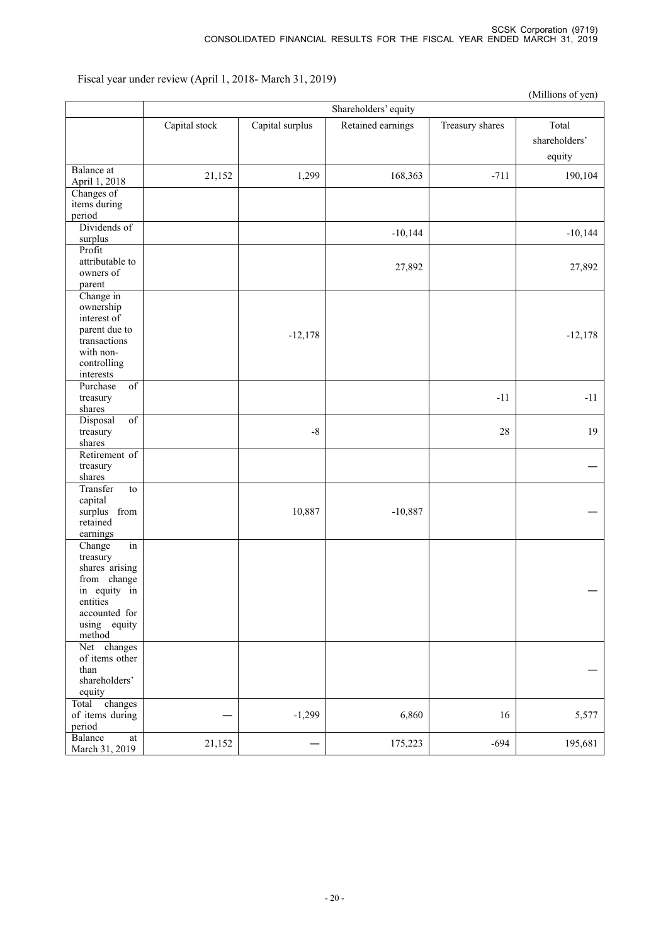Fiscal year under review (April 1, 2018- March 31, 2019)

|                                                                                                                                  |               |                 |                      |                 | (Millions of yen)                |
|----------------------------------------------------------------------------------------------------------------------------------|---------------|-----------------|----------------------|-----------------|----------------------------------|
|                                                                                                                                  |               |                 | Shareholders' equity |                 |                                  |
|                                                                                                                                  | Capital stock | Capital surplus | Retained earnings    | Treasury shares | Total<br>shareholders'<br>equity |
| Balance at<br>April 1, 2018                                                                                                      | 21,152        | 1,299           | 168,363              | $-711$          | 190,104                          |
| Changes of<br>items during<br>period                                                                                             |               |                 |                      |                 |                                  |
| Dividends of<br>surplus                                                                                                          |               |                 | $-10,144$            |                 | $-10,144$                        |
| Profit<br>attributable to<br>owners of<br>parent                                                                                 |               |                 | 27,892               |                 | 27,892                           |
| Change in<br>ownership<br>interest of<br>parent due to<br>transactions<br>with non-<br>controlling<br>interests                  |               | $-12,178$       |                      |                 | $-12,178$                        |
| Purchase<br>$\overline{\text{of}}$<br>treasury<br>shares                                                                         |               |                 |                      | $-11$           | $-11$                            |
| $\overline{of}$<br>Disposal<br>treasury<br>shares                                                                                |               | $\text{-}8$     |                      | 28              | 19                               |
| Retirement of<br>treasury<br>shares                                                                                              |               |                 |                      |                 |                                  |
| Transfer<br>to<br>capital<br>surplus from<br>retained<br>earnings                                                                |               | 10,887          | $-10,887$            |                 |                                  |
| in<br>Change<br>treasury<br>shares arising<br>from change<br>in equity in<br>entities<br>accounted for<br>using equity<br>method |               |                 |                      |                 |                                  |
| Net changes<br>of items other<br>than<br>shareholders'<br>equity                                                                 |               |                 |                      |                 |                                  |
| changes<br>Total<br>of items during<br>period                                                                                    |               | $-1,299$        | 6,860                | 16              | 5,577                            |
| Balance<br>$\operatorname{at}$<br>March 31, 2019                                                                                 | 21,152        |                 | 175,223              | $-694$          | 195,681                          |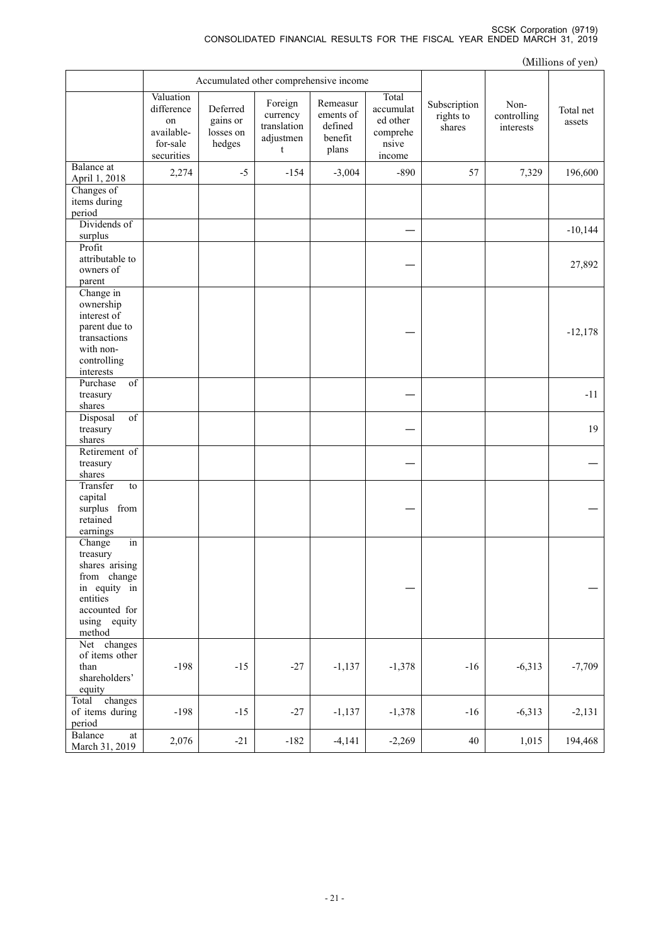|                                                                                                                                  |                                                                       |                                             |                                                      |                                                      |                                                               |                                     |                                  | (Millions of yen)   |
|----------------------------------------------------------------------------------------------------------------------------------|-----------------------------------------------------------------------|---------------------------------------------|------------------------------------------------------|------------------------------------------------------|---------------------------------------------------------------|-------------------------------------|----------------------------------|---------------------|
|                                                                                                                                  | Accumulated other comprehensive income                                |                                             |                                                      |                                                      |                                                               |                                     |                                  |                     |
|                                                                                                                                  | Valuation<br>difference<br>on<br>available-<br>for-sale<br>securities | Deferred<br>gains or<br>losses on<br>hedges | Foreign<br>currency<br>translation<br>adjustmen<br>t | Remeasur<br>ements of<br>defined<br>benefit<br>plans | Total<br>accumulat<br>ed other<br>comprehe<br>nsive<br>income | Subscription<br>rights to<br>shares | Non-<br>controlling<br>interests | Total net<br>assets |
| Balance at<br>April 1, 2018                                                                                                      | 2,274                                                                 | $-5$                                        | $-154$                                               | $-3,004$                                             | $-890$                                                        | 57                                  | 7,329                            | 196,600             |
| Changes of<br>items during<br>period                                                                                             |                                                                       |                                             |                                                      |                                                      |                                                               |                                     |                                  |                     |
| Dividends of<br>surplus                                                                                                          |                                                                       |                                             |                                                      |                                                      |                                                               |                                     |                                  | $-10,144$           |
| Profit<br>attributable to<br>owners of<br>parent                                                                                 |                                                                       |                                             |                                                      |                                                      |                                                               |                                     |                                  | 27,892              |
| Change in<br>ownership<br>interest of<br>parent due to<br>transactions<br>with non-<br>controlling<br>interests                  |                                                                       |                                             |                                                      |                                                      |                                                               |                                     |                                  | $-12,178$           |
| of<br>Purchase<br>treasury<br>shares                                                                                             |                                                                       |                                             |                                                      |                                                      |                                                               |                                     |                                  | $-11$               |
| Disposal<br>$\overline{of}$<br>treasury<br>shares                                                                                |                                                                       |                                             |                                                      |                                                      |                                                               |                                     |                                  | 19                  |
| Retirement of<br>treasury<br>shares                                                                                              |                                                                       |                                             |                                                      |                                                      |                                                               |                                     |                                  |                     |
| Transfer<br>to<br>capital<br>surplus from<br>retained<br>earnings                                                                |                                                                       |                                             |                                                      |                                                      |                                                               |                                     |                                  |                     |
| Change<br>in<br>treasury<br>shares arising<br>from change<br>in equity in<br>entities<br>accounted for<br>using equity<br>method |                                                                       |                                             |                                                      |                                                      |                                                               |                                     |                                  |                     |
| Net changes<br>of items other<br>than<br>shareholders'<br>equity                                                                 | $-198$                                                                | $-15$                                       | $-27$                                                | $-1,137$                                             | $-1,378$                                                      | $-16$                               | $-6,313$                         | $-7,709$            |
| Total<br>changes<br>of items during<br>period                                                                                    | $-198$                                                                | $-15$                                       | $-27$                                                | $-1,137$                                             | $-1,378$                                                      | $-16$                               | $-6,313$                         | $-2,131$            |
| Balance<br>at<br>March 31, 2019                                                                                                  | 2,076                                                                 | $-21$                                       | $-182$                                               | $-4,141$                                             | $-2,269$                                                      | $40\,$                              | 1,015                            | 194,468             |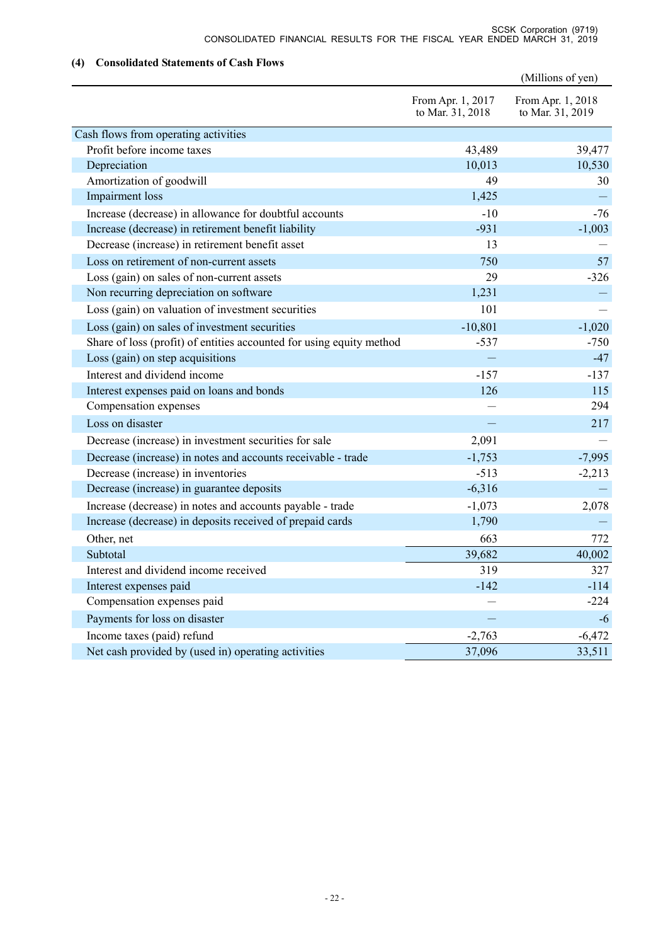### **(4) Consolidated Statements of Cash Flows**

|                                                                      |                                       | (Millions of yen)                     |
|----------------------------------------------------------------------|---------------------------------------|---------------------------------------|
|                                                                      | From Apr. 1, 2017<br>to Mar. 31, 2018 | From Apr. 1, 2018<br>to Mar. 31, 2019 |
| Cash flows from operating activities                                 |                                       |                                       |
| Profit before income taxes                                           | 43,489                                | 39,477                                |
| Depreciation                                                         | 10,013                                | 10,530                                |
| Amortization of goodwill                                             | 49                                    | 30                                    |
| Impairment loss                                                      | 1,425                                 |                                       |
| Increase (decrease) in allowance for doubtful accounts               | $-10$                                 | $-76$                                 |
| Increase (decrease) in retirement benefit liability                  | $-931$                                | $-1,003$                              |
| Decrease (increase) in retirement benefit asset                      | 13                                    |                                       |
| Loss on retirement of non-current assets                             | 750                                   | 57                                    |
| Loss (gain) on sales of non-current assets                           | 29                                    | $-326$                                |
| Non recurring depreciation on software                               | 1,231                                 |                                       |
| Loss (gain) on valuation of investment securities                    | 101                                   |                                       |
| Loss (gain) on sales of investment securities                        | $-10,801$                             | $-1,020$                              |
| Share of loss (profit) of entities accounted for using equity method | $-537$                                | $-750$                                |
| Loss (gain) on step acquisitions                                     |                                       | $-47$                                 |
| Interest and dividend income                                         | $-157$                                | $-137$                                |
| Interest expenses paid on loans and bonds                            | 126                                   | 115                                   |
| Compensation expenses                                                |                                       | 294                                   |
| Loss on disaster                                                     |                                       | 217                                   |
| Decrease (increase) in investment securities for sale                | 2,091                                 |                                       |
| Decrease (increase) in notes and accounts receivable - trade         | $-1,753$                              | $-7,995$                              |
| Decrease (increase) in inventories                                   | $-513$                                | $-2,213$                              |
| Decrease (increase) in guarantee deposits                            | $-6,316$                              |                                       |
| Increase (decrease) in notes and accounts payable - trade            | $-1,073$                              | 2,078                                 |
| Increase (decrease) in deposits received of prepaid cards            | 1,790                                 |                                       |
| Other, net                                                           | 663                                   | 772                                   |
| Subtotal                                                             | 39,682                                | 40,002                                |
| Interest and dividend income received                                | 319                                   | 327                                   |
| Interest expenses paid                                               | $-142$                                | $-114$                                |
| Compensation expenses paid                                           |                                       | $-224$                                |
| Payments for loss on disaster                                        |                                       | $-6$                                  |
| Income taxes (paid) refund                                           | $-2,763$                              | $-6,472$                              |
| Net cash provided by (used in) operating activities                  | 37,096                                | 33,511                                |
|                                                                      |                                       |                                       |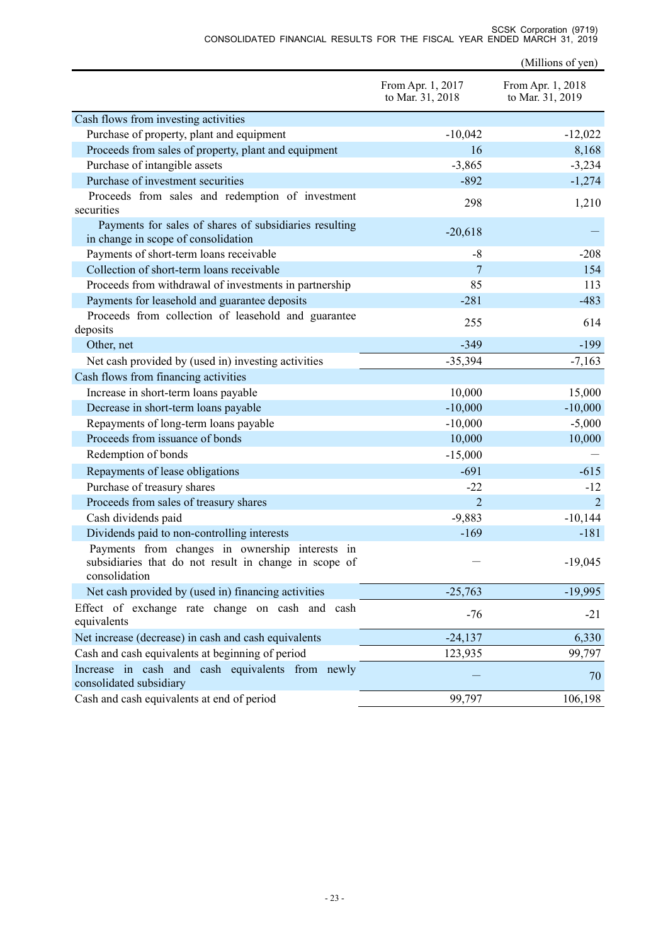|                                                                                                                           | From Apr. 1, 2017<br>to Mar. 31, 2018 | From Apr. 1, 2018<br>to Mar. 31, 2019 |
|---------------------------------------------------------------------------------------------------------------------------|---------------------------------------|---------------------------------------|
| Cash flows from investing activities                                                                                      |                                       |                                       |
| Purchase of property, plant and equipment                                                                                 | $-10,042$                             | $-12,022$                             |
| Proceeds from sales of property, plant and equipment                                                                      | 16                                    | 8,168                                 |
| Purchase of intangible assets                                                                                             | $-3,865$                              | $-3,234$                              |
| Purchase of investment securities                                                                                         | $-892$                                | $-1,274$                              |
| Proceeds from sales and redemption of investment                                                                          |                                       |                                       |
| securities                                                                                                                | 298                                   | 1,210                                 |
| Payments for sales of shares of subsidiaries resulting<br>in change in scope of consolidation                             | $-20,618$                             |                                       |
| Payments of short-term loans receivable                                                                                   | $-8$                                  | $-208$                                |
| Collection of short-term loans receivable                                                                                 | 7                                     | 154                                   |
| Proceeds from withdrawal of investments in partnership                                                                    | 85                                    | 113                                   |
| Payments for leasehold and guarantee deposits                                                                             | $-281$                                | $-483$                                |
| Proceeds from collection of leasehold and guarantee<br>deposits                                                           | 255                                   | 614                                   |
| Other, net                                                                                                                | $-349$                                | $-199$                                |
| Net cash provided by (used in) investing activities                                                                       | $-35,394$                             | $-7,163$                              |
| Cash flows from financing activities                                                                                      |                                       |                                       |
| Increase in short-term loans payable                                                                                      | 10,000                                | 15,000                                |
| Decrease in short-term loans payable                                                                                      | $-10,000$                             | $-10,000$                             |
| Repayments of long-term loans payable                                                                                     | $-10,000$                             | $-5,000$                              |
| Proceeds from issuance of bonds                                                                                           | 10,000                                | 10,000                                |
| Redemption of bonds                                                                                                       | $-15,000$                             |                                       |
| Repayments of lease obligations                                                                                           | $-691$                                | $-615$                                |
| Purchase of treasury shares                                                                                               | $-22$                                 | $-12$                                 |
| Proceeds from sales of treasury shares                                                                                    | $\overline{2}$                        | $\overline{2}$                        |
| Cash dividends paid                                                                                                       | $-9,883$                              | $-10,144$                             |
| Dividends paid to non-controlling interests                                                                               | $-169$                                | $-181$                                |
| Payments from changes in ownership interests in<br>subsidiaries that do not result in change in scope of<br>consolidation |                                       | $-19,045$                             |
| Net cash provided by (used in) financing activities                                                                       | $-25,763$                             | $-19,995$                             |
| Effect of exchange rate change on cash and cash<br>equivalents                                                            | $-76$                                 | $-21$                                 |
| Net increase (decrease) in cash and cash equivalents                                                                      | $-24,137$                             | 6,330                                 |
| Cash and cash equivalents at beginning of period                                                                          | 123,935                               | 99,797                                |
| Increase in cash and cash equivalents from newly<br>consolidated subsidiary                                               |                                       | 70                                    |
| Cash and cash equivalents at end of period                                                                                | 99,797                                | 106,198                               |

(Millions of yen)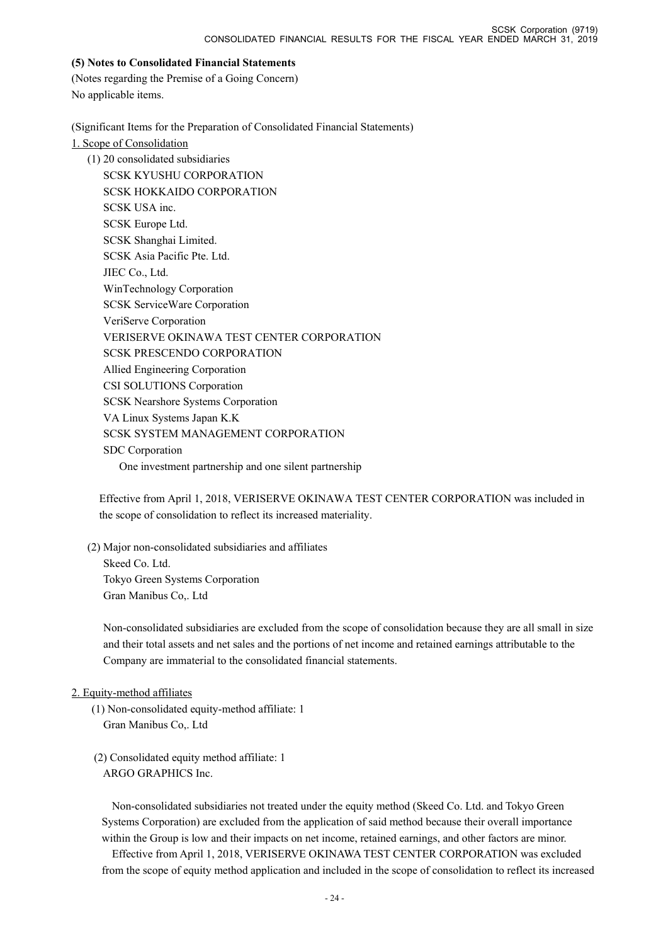#### **(5) Notes to Consolidated Financial Statements**

(Notes regarding the Premise of a Going Concern) No applicable items.

(Significant Items for the Preparation of Consolidated Financial Statements)

1. Scope of Consolidation

(1) 20 consolidated subsidiaries SCSK KYUSHU CORPORATION SCSK HOKKAIDO CORPORATION SCSK USA inc. SCSK Europe Ltd. SCSK Shanghai Limited. SCSK Asia Pacific Pte. Ltd. JIEC Co., Ltd. WinTechnology Corporation SCSK ServiceWare Corporation VeriServe Corporation VERISERVE OKINAWA TEST CENTER CORPORATION SCSK PRESCENDO CORPORATION Allied Engineering Corporation CSI SOLUTIONS Corporation SCSK Nearshore Systems Corporation VA Linux Systems Japan K.K SCSK SYSTEM MANAGEMENT CORPORATION SDC Corporation One investment partnership and one silent partnership

Effective from April 1, 2018, VERISERVE OKINAWA TEST CENTER CORPORATION was included in the scope of consolidation to reflect its increased materiality.

(2) Major non-consolidated subsidiaries and affiliates Skeed Co. Ltd. Tokyo Green Systems Corporation Gran Manibus Co,. Ltd

Non-consolidated subsidiaries are excluded from the scope of consolidation because they are all small in size and their total assets and net sales and the portions of net income and retained earnings attributable to the Company are immaterial to the consolidated financial statements.

### 2. Equity-method affiliates

- (1) Non-consolidated equity-method affiliate: 1 Gran Manibus Co,. Ltd
- (2) Consolidated equity method affiliate: 1 ARGO GRAPHICS Inc.

Non-consolidated subsidiaries not treated under the equity method (Skeed Co. Ltd. and Tokyo Green Systems Corporation) are excluded from the application of said method because their overall importance within the Group is low and their impacts on net income, retained earnings, and other factors are minor.

Effective from April 1, 2018, VERISERVE OKINAWA TEST CENTER CORPORATION was excluded from the scope of equity method application and included in the scope of consolidation to reflect its increased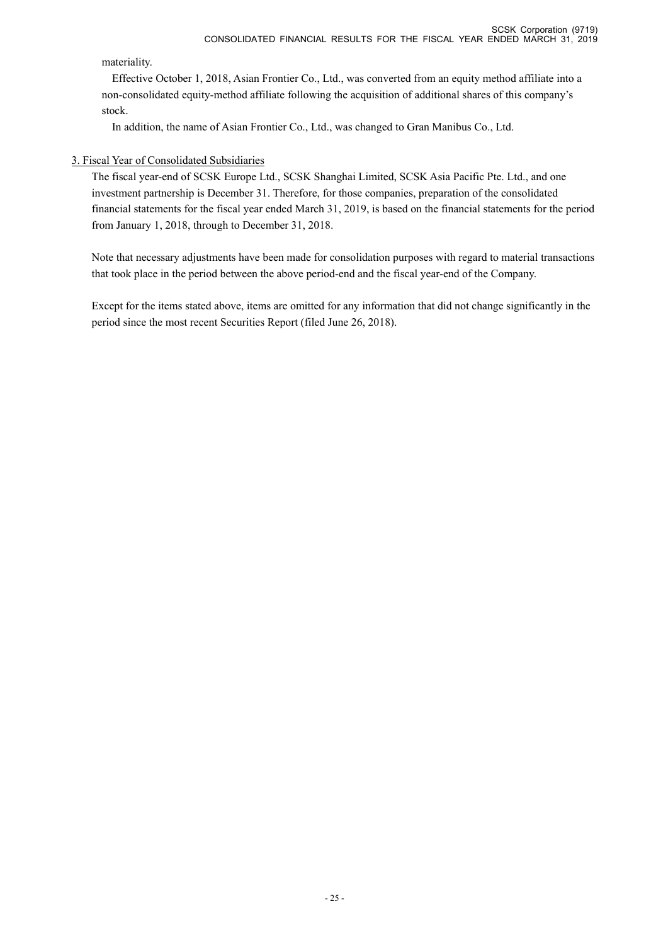materiality.

Effective October 1, 2018, Asian Frontier Co., Ltd., was converted from an equity method affiliate into a non-consolidated equity-method affiliate following the acquisition of additional shares of this company's stock.

In addition, the name of Asian Frontier Co., Ltd., was changed to Gran Manibus Co., Ltd.

### 3. Fiscal Year of Consolidated Subsidiaries

The fiscal year-end of SCSK Europe Ltd., SCSK Shanghai Limited, SCSK Asia Pacific Pte. Ltd., and one investment partnership is December 31. Therefore, for those companies, preparation of the consolidated financial statements for the fiscal year ended March 31, 2019, is based on the financial statements for the period from January 1, 2018, through to December 31, 2018.

Note that necessary adjustments have been made for consolidation purposes with regard to material transactions that took place in the period between the above period-end and the fiscal year-end of the Company.

Except for the items stated above, items are omitted for any information that did not change significantly in the period since the most recent Securities Report (filed June 26, 2018).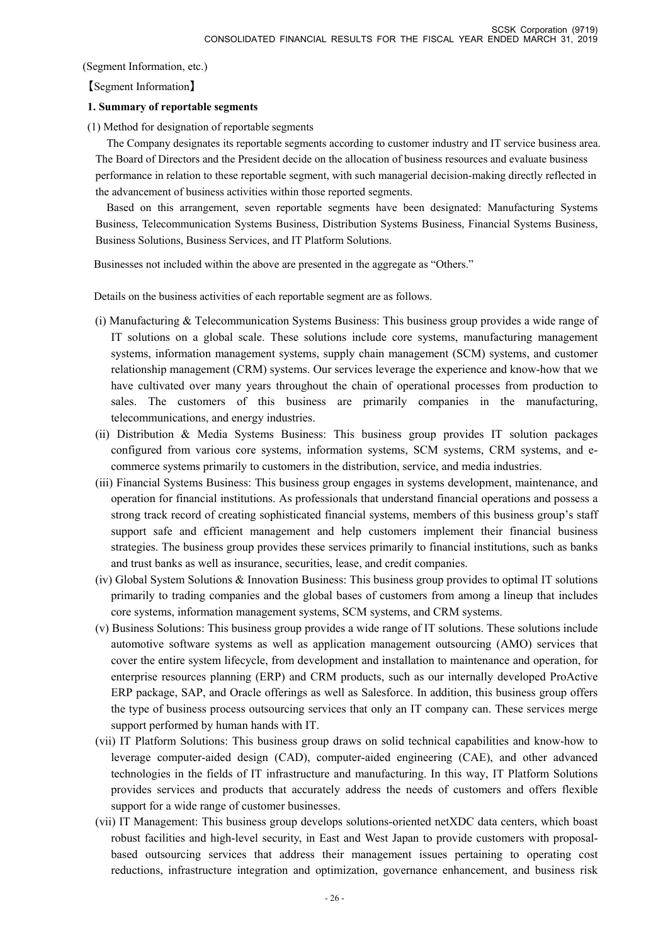(Segment Information, etc.)

【Segment Information】

### **1. Summary of reportable segments**

(1) Method for designation of reportable segments

The Company designates its reportable segments according to customer industry and IT service business area. The Board of Directors and the President decide on the allocation of business resources and evaluate business performance in relation to these reportable segment, with such managerial decision-making directly reflected in the advancement of business activities within those reported segments.

Based on this arrangement, seven reportable segments have been designated: Manufacturing Systems Business, Telecommunication Systems Business, Distribution Systems Business, Financial Systems Business, Business Solutions, Business Services, and IT Platform Solutions.

Businesses not included within the above are presented in the aggregate as "Others."

Details on the business activities of each reportable segment are as follows.

- (i) Manufacturing & Telecommunication Systems Business: This business group provides a wide range of IT solutions on a global scale. These solutions include core systems, manufacturing management systems, information management systems, supply chain management (SCM) systems, and customer relationship management (CRM) systems. Our services leverage the experience and know-how that we have cultivated over many years throughout the chain of operational processes from production to sales. The customers of this business are primarily companies in the manufacturing, telecommunications, and energy industries.
- (ii) Distribution & Media Systems Business: This business group provides IT solution packages configured from various core systems, information systems, SCM systems, CRM systems, and ecommerce systems primarily to customers in the distribution, service, and media industries.
- (iii) Financial Systems Business: This business group engages in systems development, maintenance, and operation for financial institutions. As professionals that understand financial operations and possess a strong track record of creating sophisticated financial systems, members of this business group's staff support safe and efficient management and help customers implement their financial business strategies. The business group provides these services primarily to financial institutions, such as banks and trust banks as well as insurance, securities, lease, and credit companies.
- (iv) Global System Solutions & Innovation Business: This business group provides to optimal IT solutions primarily to trading companies and the global bases of customers from among a lineup that includes core systems, information management systems, SCM systems, and CRM systems.
- (v) Business Solutions: This business group provides a wide range of IT solutions. These solutions include automotive software systems as well as application management outsourcing (AMO) services that cover the entire system lifecycle, from development and installation to maintenance and operation, for enterprise resources planning (ERP) and CRM products, such as our internally developed ProActive ERP package, SAP, and Oracle offerings as well as Salesforce. In addition, this business group offers the type of business process outsourcing services that only an IT company can. These services merge support performed by human hands with IT.
- (vii) IT Platform Solutions: This business group draws on solid technical capabilities and know-how to leverage computer-aided design (CAD), computer-aided engineering (CAE), and other advanced technologies in the fields of IT infrastructure and manufacturing. In this way, IT Platform Solutions provides services and products that accurately address the needs of customers and offers flexible support for a wide range of customer businesses.
- (vii) IT Management: This business group develops solutions-oriented netXDC data centers, which boast robust facilities and high-level security, in East and West Japan to provide customers with proposalbased outsourcing services that address their management issues pertaining to operating cost reductions, infrastructure integration and optimization, governance enhancement, and business risk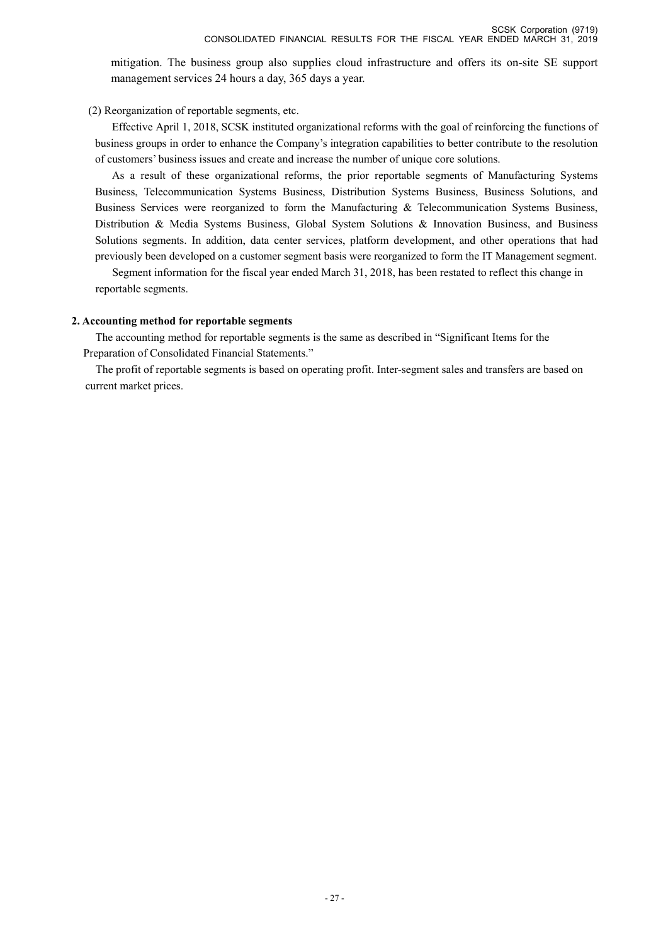mitigation. The business group also supplies cloud infrastructure and offers its on-site SE support management services 24 hours a day, 365 days a year.

(2) Reorganization of reportable segments, etc.

Effective April 1, 2018, SCSK instituted organizational reforms with the goal of reinforcing the functions of business groups in order to enhance the Company's integration capabilities to better contribute to the resolution of customers' business issues and create and increase the number of unique core solutions.

As a result of these organizational reforms, the prior reportable segments of Manufacturing Systems Business, Telecommunication Systems Business, Distribution Systems Business, Business Solutions, and Business Services were reorganized to form the Manufacturing & Telecommunication Systems Business, Distribution & Media Systems Business, Global System Solutions & Innovation Business, and Business Solutions segments. In addition, data center services, platform development, and other operations that had previously been developed on a customer segment basis were reorganized to form the IT Management segment.

Segment information for the fiscal year ended March 31, 2018, has been restated to reflect this change in reportable segments.

### **2. Accounting method for reportable segments**

The accounting method for reportable segments is the same as described in "Significant Items for the Preparation of Consolidated Financial Statements."

The profit of reportable segments is based on operating profit. Inter-segment sales and transfers are based on current market prices.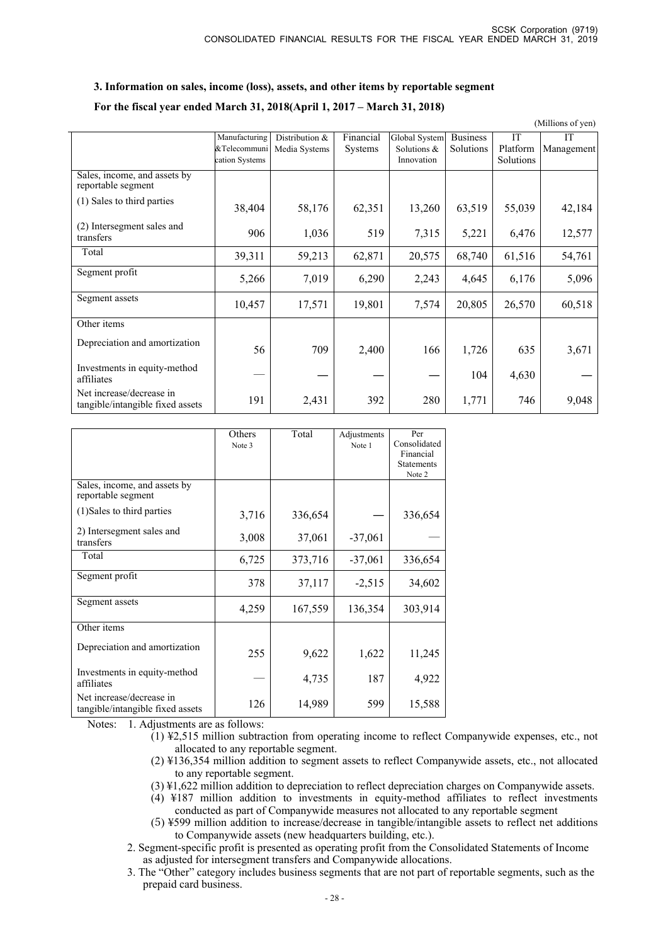### **3. Information on sales, income (loss), assets, and other items by reportable segment**

### **For the fiscal year ended March 31, 2018(April 1, 2017 – March 31, 2018)**

|                                                              |                |                |                |               |                 |           | (Millions of yen) |
|--------------------------------------------------------------|----------------|----------------|----------------|---------------|-----------------|-----------|-------------------|
|                                                              | Manufacturing  | Distribution & | Financial      | Global System | <b>Business</b> | <b>IT</b> | <b>IT</b>         |
|                                                              | &Telecommuni   | Media Systems  | <b>Systems</b> | Solutions &   | Solutions       | Platform  | Management        |
|                                                              | cation Systems |                |                | Innovation    |                 | Solutions |                   |
| Sales, income, and assets by<br>reportable segment           |                |                |                |               |                 |           |                   |
| (1) Sales to third parties                                   | 38,404         | 58,176         | 62,351         | 13,260        | 63,519          | 55,039    | 42,184            |
| (2) Intersegment sales and<br>transfers                      | 906            | 1,036          | 519            | 7,315         | 5,221           | 6,476     | 12,577            |
| Total                                                        | 39,311         | 59,213         | 62,871         | 20,575        | 68,740          | 61,516    | 54,761            |
| Segment profit                                               | 5,266          | 7,019          | 6,290          | 2,243         | 4.645           | 6,176     | 5,096             |
| Segment assets                                               | 10,457         | 17,571         | 19,801         | 7,574         | 20,805          | 26,570    | 60,518            |
| Other items                                                  |                |                |                |               |                 |           |                   |
| Depreciation and amortization                                | 56             | 709            | 2,400          | 166           | 1,726           | 635       | 3,671             |
| Investments in equity-method<br>affiliates                   |                |                |                |               | 104             | 4,630     |                   |
| Net increase/decrease in<br>tangible/intangible fixed assets | 191            | 2,431          | 392            | 280           | 1,771           | 746       | 9,048             |

|                                                              | Others<br>Note 3 | Total   | Adjustments<br>Note 1 | Per<br>Consolidated<br>Financial<br><b>Statements</b><br>Note 2 |
|--------------------------------------------------------------|------------------|---------|-----------------------|-----------------------------------------------------------------|
| Sales, income, and assets by<br>reportable segment           |                  |         |                       |                                                                 |
| (1) Sales to third parties                                   | 3,716            | 336,654 |                       | 336,654                                                         |
| 2) Intersegment sales and<br>transfers                       | 3,008            | 37,061  | $-37,061$             |                                                                 |
| Total                                                        | 6,725            | 373,716 | $-37,061$             | 336,654                                                         |
| Segment profit                                               | 378              | 37,117  | $-2,515$              | 34,602                                                          |
| Segment assets                                               | 4,259            | 167,559 | 136,354               | 303,914                                                         |
| Other items                                                  |                  |         |                       |                                                                 |
| Depreciation and amortization                                | 255              | 9,622   | 1,622                 | 11,245                                                          |
| Investments in equity-method<br>affiliates                   |                  | 4,735   | 187                   | 4,922                                                           |
| Net increase/decrease in<br>tangible/intangible fixed assets | 126              | 14,989  | 599                   | 15,588                                                          |

Notes: 1. Adjustments are as follows:

- (1) ¥2,515 million subtraction from operating income to reflect Companywide expenses, etc., not allocated to any reportable segment.
- (2) ¥136,354 million addition to segment assets to reflect Companywide assets, etc., not allocated to any reportable segment.
- (3) ¥1,622 million addition to depreciation to reflect depreciation charges on Companywide assets.
- (4) ¥187 million addition to investments in equity-method affiliates to reflect investments conducted as part of Companywide measures not allocated to any reportable segment
- (5) ¥599 million addition to increase/decrease in tangible/intangible assets to reflect net additions to Companywide assets (new headquarters building, etc.).
- 2. Segment-specific profit is presented as operating profit from the Consolidated Statements of Income as adjusted for intersegment transfers and Companywide allocations.
- 3. The "Other" category includes business segments that are not part of reportable segments, such as the prepaid card business.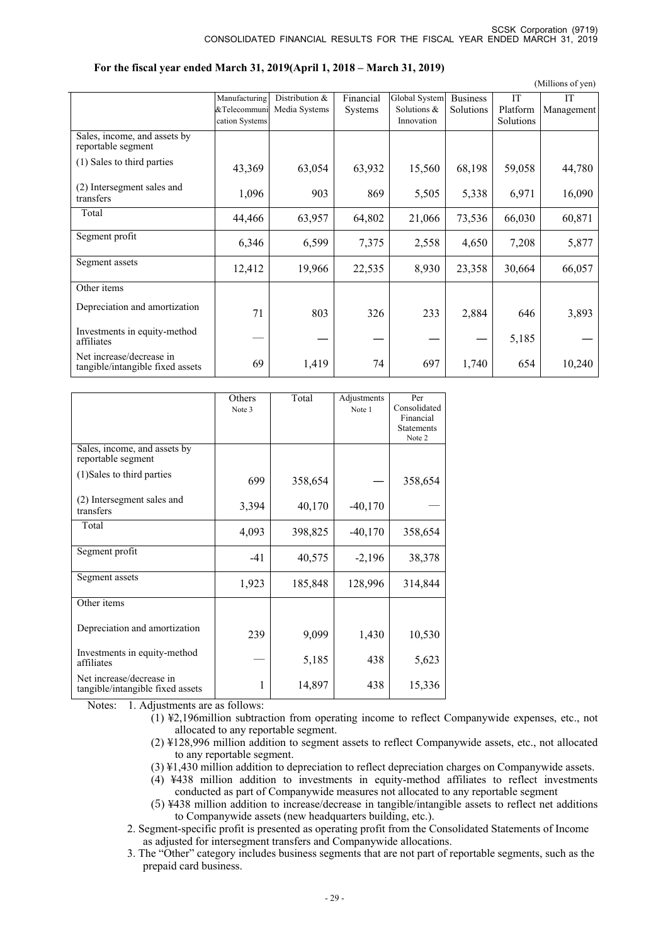|                                                              |                |                |           |               |                 |           | (Millions of yen) |
|--------------------------------------------------------------|----------------|----------------|-----------|---------------|-----------------|-----------|-------------------|
|                                                              | Manufacturing  | Distribution & | Financial | Global System | <b>Business</b> | <b>IT</b> | <b>IT</b>         |
|                                                              | &Telecommuni   | Media Systems  | Systems   | Solutions &   | Solutions       | Platform  | Management        |
|                                                              | cation Systems |                |           | Innovation    |                 | Solutions |                   |
| Sales, income, and assets by<br>reportable segment           |                |                |           |               |                 |           |                   |
| (1) Sales to third parties                                   | 43,369         | 63,054         | 63,932    | 15,560        | 68,198          | 59,058    | 44,780            |
| (2) Intersegment sales and<br>transfers                      | 1,096          | 903            | 869       | 5,505         | 5,338           | 6,971     | 16,090            |
| Total                                                        | 44,466         | 63,957         | 64,802    | 21,066        | 73,536          | 66,030    | 60,871            |
| Segment profit                                               | 6,346          | 6,599          | 7,375     | 2,558         | 4,650           | 7,208     | 5,877             |
| Segment assets                                               | 12,412         | 19,966         | 22,535    | 8,930         | 23,358          | 30,664    | 66,057            |
| Other items                                                  |                |                |           |               |                 |           |                   |
| Depreciation and amortization                                | 71             | 803            | 326       | 233           | 2,884           | 646       | 3,893             |
| Investments in equity-method<br>affiliates                   |                |                |           |               |                 | 5,185     |                   |
| Net increase/decrease in<br>tangible/intangible fixed assets | 69             | 1,419          | 74        | 697           | 1,740           | 654       | 10,240            |

#### **For the fiscal year ended March 31, 2019(April 1, 2018 – March 31, 2019)**

|                                                              | Others<br>Note 3 | Total   | Adjustments<br>Note 1 | Per<br>Consolidated<br>Financial<br><b>Statements</b><br>Note 2 |
|--------------------------------------------------------------|------------------|---------|-----------------------|-----------------------------------------------------------------|
| Sales, income, and assets by<br>reportable segment           |                  |         |                       |                                                                 |
| (1) Sales to third parties                                   | 699              | 358,654 |                       | 358,654                                                         |
| (2) Intersegment sales and<br>transfers                      | 3,394            | 40,170  | $-40,170$             |                                                                 |
| Total                                                        | 4,093            | 398,825 | $-40,170$             | 358,654                                                         |
| Segment profit                                               | $-41$            | 40,575  | $-2,196$              | 38,378                                                          |
| Segment assets                                               | 1,923            | 185,848 | 128,996               | 314,844                                                         |
| Other items                                                  |                  |         |                       |                                                                 |
| Depreciation and amortization                                | 239              | 9,099   | 1,430                 | 10,530                                                          |
| Investments in equity-method<br>affiliates                   |                  | 5,185   | 438                   | 5,623                                                           |
| Net increase/decrease in<br>tangible/intangible fixed assets | 1                | 14,897  | 438                   | 15,336                                                          |

Notes: 1. Adjustments are as follows:

- (1) ¥2,196million subtraction from operating income to reflect Companywide expenses, etc., not allocated to any reportable segment.
- (2) ¥128,996 million addition to segment assets to reflect Companywide assets, etc., not allocated to any reportable segment.
- (3) ¥1,430 million addition to depreciation to reflect depreciation charges on Companywide assets.
- (4) ¥438 million addition to investments in equity-method affiliates to reflect investments conducted as part of Companywide measures not allocated to any reportable segment
- (5) ¥438 million addition to increase/decrease in tangible/intangible assets to reflect net additions to Companywide assets (new headquarters building, etc.).
- 2. Segment-specific profit is presented as operating profit from the Consolidated Statements of Income as adjusted for intersegment transfers and Companywide allocations.
- 3. The "Other" category includes business segments that are not part of reportable segments, such as the prepaid card business.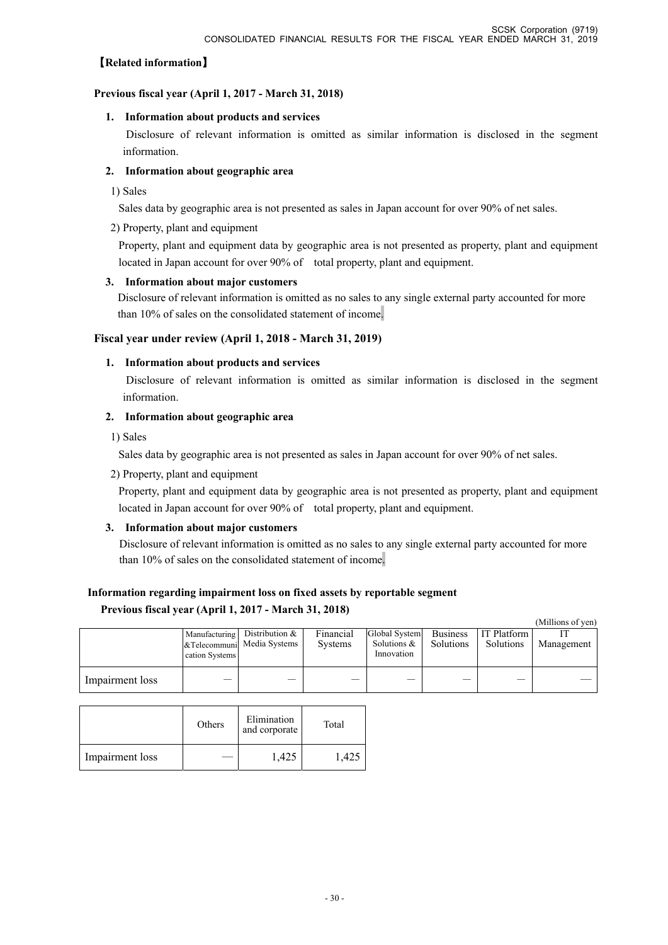### 【**Related information**】

### **Previous fiscal year (April 1, 2017 - March 31, 2018)**

### **1. Information about products and services**

 Disclosure of relevant information is omitted as similar information is disclosed in the segment information.

### **2. Information about geographic area**

1) Sales

Sales data by geographic area is not presented as sales in Japan account for over 90% of net sales.

### 2) Property, plant and equipment

Property, plant and equipment data by geographic area is not presented as property, plant and equipment located in Japan account for over 90% of total property, plant and equipment.

### **3. Information about major customers**

 Disclosure of relevant information is omitted as no sales to any single external party accounted for more than 10% of sales on the consolidated statement of income.

### **Fiscal year under review (April 1, 2018 - March 31, 2019)**

### **1. Information about products and services**

 Disclosure of relevant information is omitted as similar information is disclosed in the segment information.

### **2. Information about geographic area**

1) Sales

Sales data by geographic area is not presented as sales in Japan account for over 90% of net sales.

2) Property, plant and equipment

Property, plant and equipment data by geographic area is not presented as property, plant and equipment located in Japan account for over 90% of total property, plant and equipment.

### **3. Information about major customers**

Disclosure of relevant information is omitted as no sales to any single external party accounted for more than 10% of sales on the consolidated statement of income.

# **Information regarding impairment loss on fixed assets by reportable segment**

### **Previous fiscal year (April 1, 2017 - March 31, 2018)**

|                 |                |                              |                |                              |                 |                    | (Millions of yen) |
|-----------------|----------------|------------------------------|----------------|------------------------------|-----------------|--------------------|-------------------|
|                 |                | Manufacturing Distribution & | Financial      | Global System                | <b>Business</b> | <b>IT Platform</b> |                   |
|                 | cation Systems | &Telecommuni Media Systems   | <b>Systems</b> | Solutions $\&$<br>Innovation | Solutions       | Solutions          | Management        |
|                 |                |                              |                |                              |                 |                    |                   |
| Impairment loss |                |                              |                |                              |                 |                    |                   |

|                 | Others | Elimination<br>and corporate | Total |
|-----------------|--------|------------------------------|-------|
| Impairment loss |        | 1,425                        | :42.  |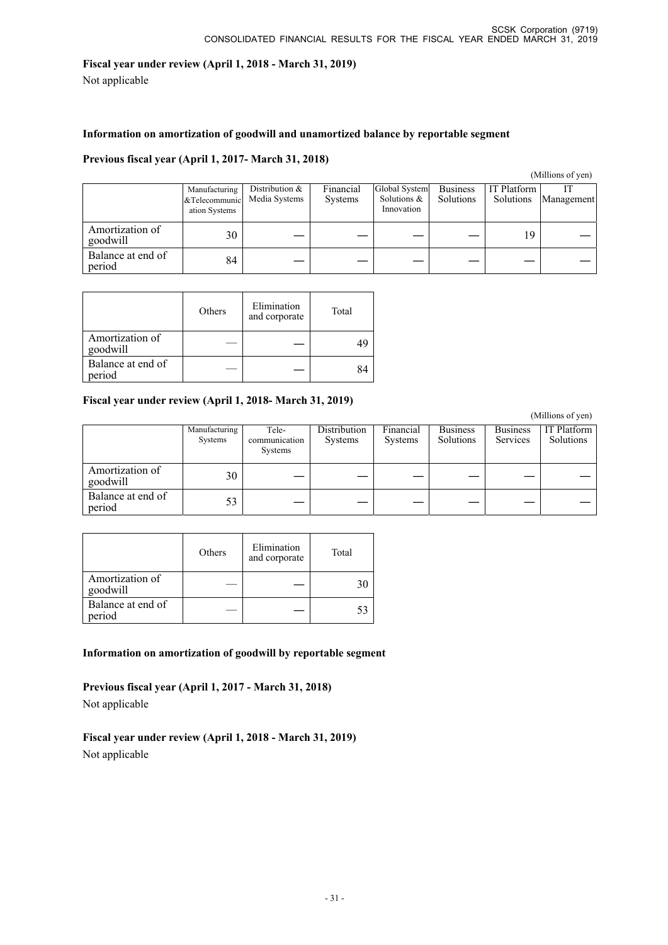### **Fiscal year under review (April 1, 2018 - March 31, 2019)**

Not applicable

### **Information on amortization of goodwill and unamortized balance by reportable segment**

### **Previous fiscal year (April 1, 2017- March 31, 2018)**

### (Millions of yen)

|                             | Manufacturing<br>&Telecommunic<br>ation Systems | Distribution &<br>Media Systems | Financial<br><b>Systems</b> | Global System<br>Solutions &<br>Innovation | <b>Business</b><br>Solutions | <b>IT Platform</b><br>Solutions | Management |
|-----------------------------|-------------------------------------------------|---------------------------------|-----------------------------|--------------------------------------------|------------------------------|---------------------------------|------------|
| Amortization of<br>goodwill | 30                                              |                                 |                             |                                            |                              | 19                              |            |
| Balance at end of<br>period | 84                                              |                                 |                             |                                            |                              |                                 |            |

|                             | Others | Elimination<br>and corporate | Total |
|-----------------------------|--------|------------------------------|-------|
| Amortization of<br>goodwill |        |                              |       |
| Balance at end of<br>period |        |                              |       |

### **Fiscal year under review (April 1, 2018- March 31, 2019)**

 (Millions of yen) Manufacturing Systems Telecommunication Systems **Distribution** Systems Financial Systems Business Solutions Business Services IT Platform Solutions Amortization of Alliotuzation of  $\begin{vmatrix} 30 & - & - & - & - & - & - \end{vmatrix}$ Balance at end of<br>period  $\begin{array}{c|c|c|c|c|c|c} \text{Baialice at end of} & & & 53 & & - & - & - & - & - & - & - & - \end{array}$ 

|                             | Others | Elimination<br>and corporate | Total |
|-----------------------------|--------|------------------------------|-------|
| Amortization of<br>goodwill |        |                              |       |
| Balance at end of<br>period |        |                              |       |

**Information on amortization of goodwill by reportable segment** 

**Previous fiscal year (April 1, 2017 - March 31, 2018)**  Not applicable

**Fiscal year under review (April 1, 2018 - March 31, 2019)**  Not applicable